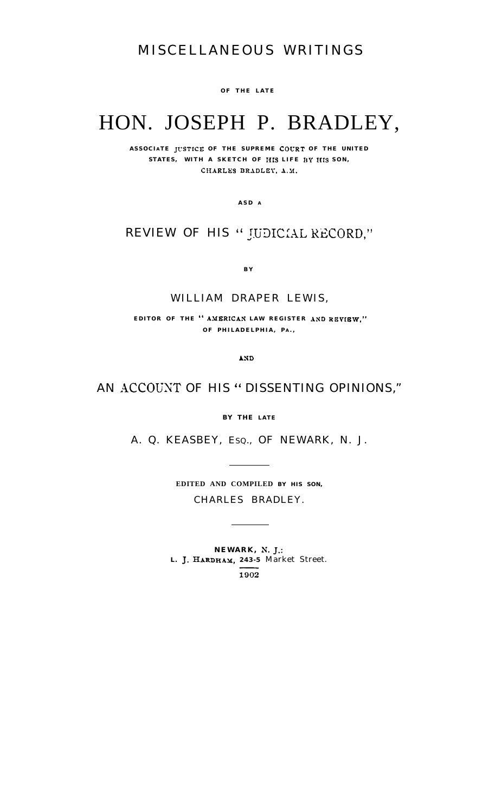## MISCELLANEOUS WRITINGS

**OF THE LATE**

# HON. JOSEPH P. BRADLEY,

ASSOCIATE JUSTICE OF THE SUPREME COURT OF THE UNITED STATES, WITH A SKETCH OF HIS LIFE BY HIS SON, CHARLES BRADLEY, A.M.

**ASD A**

### REVIEW OF HIS " JUDICIAL RECORD,"

**B Y**

#### WILLIAM DRAPER LEWIS,

**EDITOR OF THE " AMERICAN LAW REGISTER AND REVIEW," OF PHILADELPHIA, P A . ,**

AND

### AN ACCOUNT OF HIS " DISSENTING OPINIONS,"

**BY THE** *LATE*

A. Q. KEASBEY, ESQ., OF NEWARK, N. J.

**EDITED AND COMPILED BY HIS SON,** CHARLES BRADLEY.

**NEWARK, N. J.: L. J. HARDHAY, 243-5** Market Street. $1902$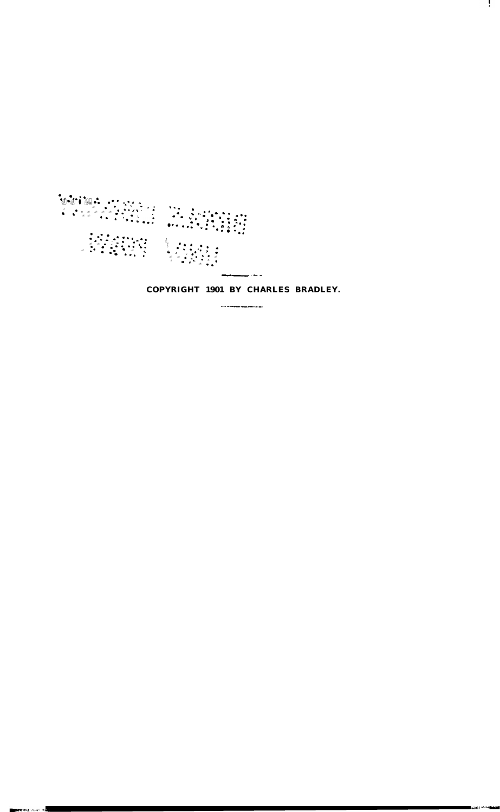

.<br>Mareka ⊲ikuri Ma

**COPYRIGHT 1901 BY CHARLES BRADLEY.**

А.

**-\_\_---.\_-.**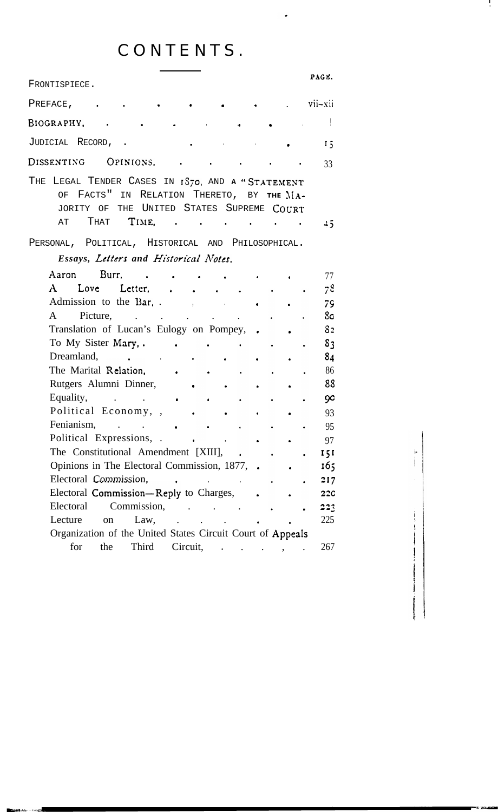# CONTENTS.

 $\ddot{\phantom{0}}$ 

**I .**

 $\ddot{\dot{\mathbf{r}}}$ 

 $\frac{1}{2}$  , where  $\frac{1}{2}$  and  $\frac{1}{2}$  are  $\frac{1}{2}$  and  $\frac{1}{2}$ 

 $\vdots$ 

| FRONTISPIECE.                                                                                                                                                                                                                                                   | PAGE.          |
|-----------------------------------------------------------------------------------------------------------------------------------------------------------------------------------------------------------------------------------------------------------------|----------------|
| $\overline{\text{vii}-\text{xii}}$<br>PREFACE,                                                                                                                                                                                                                  |                |
| BIOGRAPHY,<br>and the contract of the contract of the contract of the contract of the contract of the contract of the contract of<br>Ŷ.<br><b>b</b>                                                                                                             |                |
| JUDICIAL RECORD, .<br>the control of the control of the<br><b>Contractor</b>                                                                                                                                                                                    | 15             |
| OPINIONS,<br>DISSENTING                                                                                                                                                                                                                                         | 33             |
| THE LEGAL TENDER CASES IN 1S70, AND A "STATEMENT<br>FACTS" IN RELATION THERETO, BY THE MA-<br>OF                                                                                                                                                                |                |
| THE UNITED STATES SUPREME COURT<br>JORITY OF<br>THAT <b>TIME, .</b><br>AТ                                                                                                                                                                                       | 45             |
| PERSONAL, POLITICAL, HISTORICAL AND PHILOSOPHICAL.                                                                                                                                                                                                              |                |
| Essays, Letters and Historical Notes.<br>Aaron Burr.                                                                                                                                                                                                            |                |
| $\mathbf{r}$ , and $\mathbf{r}$ , and $\mathbf{r}$<br>A Love Letter,<br>$\sim$ $\sim$ $\sim$                                                                                                                                                                    | 77<br>78       |
|                                                                                                                                                                                                                                                                 | 79             |
| Picture,<br>A                                                                                                                                                                                                                                                   | 8 <sub>c</sub> |
| Translation of Lucan's Eulogy on Pompey, .                                                                                                                                                                                                                      | 8 <sub>2</sub> |
| To My Sister Mary, .<br><b>Contract Contract Contract Contract</b>                                                                                                                                                                                              | 8 <sub>3</sub> |
| Dreamland, and the contract of the contract of the contract of the contract of the contract of the contract of the contract of the contract of the contract of the contract of the contract of the contract of the contract of                                  | 84             |
| The Marital Relation,<br>$\mathcal{L} = \mathcal{L}$<br>$\bullet$ . The set of $\mathcal{O}$                                                                                                                                                                    | 86             |
| Rutgers Alumni Dinner,                                                                                                                                                                                                                                          | 88             |
| Equality,<br>$\bullet$ . The set of $\bullet$                                                                                                                                                                                                                   | 90             |
| Political Economy, , .                                                                                                                                                                                                                                          | 93             |
|                                                                                                                                                                                                                                                                 | 95             |
|                                                                                                                                                                                                                                                                 | 97             |
| The Constitutional Amendment [XIII], .                                                                                                                                                                                                                          | 151            |
| Opinions in The Electoral Commission, 1877, .                                                                                                                                                                                                                   | 165            |
| Electoral Commission,<br>$\mathcal{L}^{\mathcal{L}}(\mathbf{z})$ . The contract of the contract of $\mathcal{L}^{\mathcal{L}}(\mathbf{z})$                                                                                                                      | 217            |
| Electoral <b>Commission—Reply</b> to Charges,                                                                                                                                                                                                                   | <b>22C</b>     |
| Electoral<br>Commission,<br>$\mathcal{L}^{\text{max}}$ , and $\mathcal{L}^{\text{max}}$ , and $\mathcal{L}^{\text{max}}$                                                                                                                                        | 223            |
| Lecture<br>Law,<br>on<br>$\ddot{\phantom{a}}$ . The contract of the contract of the contract of the contract of the contract of the contract of the contract of the contract of the contract of the contract of the contract of the contract of the contract of | 225            |
| Organization of the United States Circuit Court of Appeals<br>Third<br>for<br>the<br>Circuit,<br>$\ddot{\phantom{a}}$<br>$\mathbf{r} = \mathbf{r} \cdot \mathbf{r}$                                                                                             | 267            |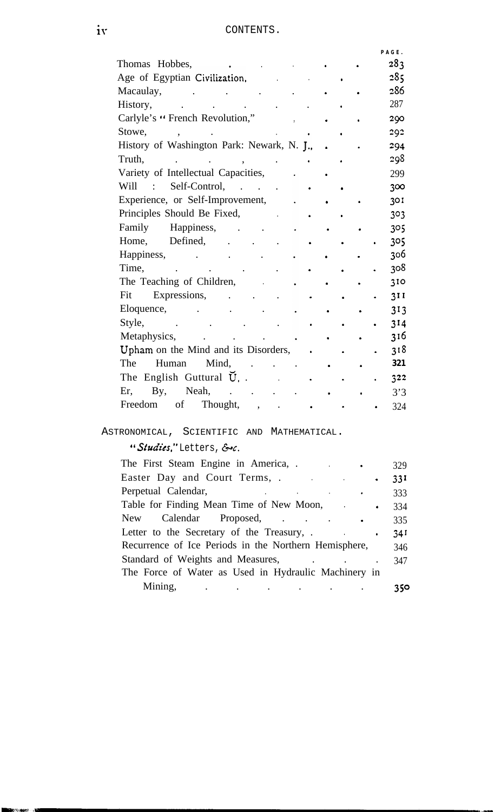|                                            |  | PAGE. |  |
|--------------------------------------------|--|-------|--|
| Thomas Hobbes,                             |  | 283   |  |
| Age of Egyptian Civilization,              |  | 285   |  |
| Macaulay,                                  |  | 286   |  |
| History,                                   |  | 287   |  |
| Carlyle's " French Revolution,"            |  | 290   |  |
| Stowe,                                     |  | 292   |  |
| History of Washington Park: Newark, N. J., |  | 294   |  |
| Truth,                                     |  | 298   |  |
| Variety of Intellectual Capacities,        |  | 299   |  |
| Self-Control,<br>Will                      |  | 300   |  |
| Experience, or Self-Improvement,           |  | 301   |  |
| Principles Should Be Fixed,                |  | 303   |  |
| Family<br>Happiness,                       |  | 305   |  |
| Defined,<br>Home,                          |  | 305   |  |
| Happiness,                                 |  | 306   |  |
| Time,                                      |  | 308   |  |
| The Teaching of Children,                  |  | 310   |  |
| Expressions,<br>Fit                        |  | 3II   |  |
| Eloquence,                                 |  | 313   |  |
| Style,                                     |  | 314   |  |
| Metaphysics,                               |  | 316   |  |
| Upham on the Mind and its Disorders,       |  | 318   |  |
| Mind,<br>The<br>Human                      |  | 321   |  |
| The English Guttural $\bar{U}$ , .         |  | 322   |  |
| Neah,<br>Er,<br>By,                        |  | 3'3   |  |
| of<br>Thought,<br>Freedom                  |  | 324   |  |

### ASTRONOMICAL, SCIENTIFIC AND MATHEMATICAL.

# "Studies," Letters, &c.

ia.<br>Isto u.

| The First Steam Engine in America, .<br>and the company of                                     | 329      |
|------------------------------------------------------------------------------------------------|----------|
| Easter Day and Court Terms, .<br>the contract of the contract of the<br>$\bullet$              | 33I      |
| Perpetual Calendar,<br>and the state of the state of the state of<br>$\sim 100$                | 333      |
| Table for Finding Mean Time of New Moon,<br>$\bullet$                                          | 334      |
| New Calendar Proposed,                                                                         | 335      |
| Letter to the Secretary of the Treasury, .<br><b>Contract Contract</b><br>$\bullet$            | $34^{1}$ |
| Recurrence of Ice Periods in the Northern Hemisphere,                                          | 346      |
| Standard of Weights and Measures,                                                              | 347      |
| The Force of Water as Used in Hydraulic Machinery in                                           |          |
| Mining,<br>and the contract of the contract of the contract of the contract of the contract of | 350      |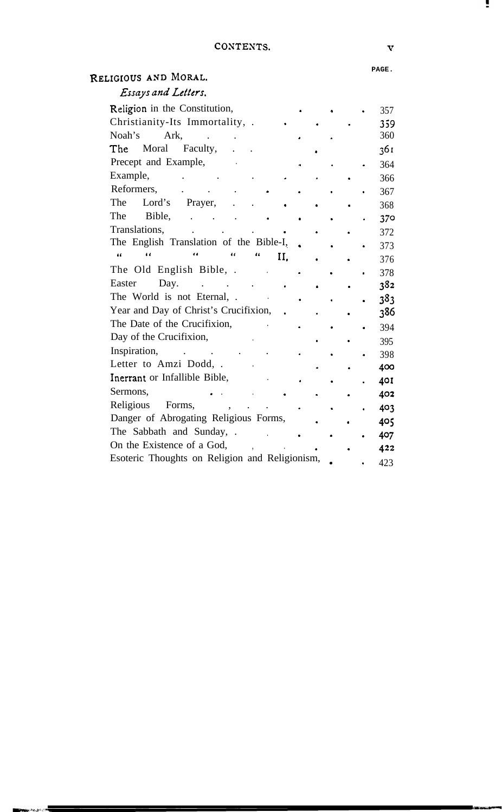÷.

#### **PAGE.**

| RELIGIOUS AND MORAL.                           |  |     |
|------------------------------------------------|--|-----|
| Essays and Letters.                            |  |     |
| Religion in the Constitution,                  |  | 357 |
| Christianity-Its Immortality, .                |  | 359 |
| Noah's<br>Ark.                                 |  | 360 |
| The<br>Moral<br>Faculty,                       |  | 361 |
| Precept and Example,                           |  | 364 |
| Example,                                       |  | 366 |
| Reformers,                                     |  | 367 |
| The<br>Lord's<br>Prayer,                       |  | 368 |
| The<br>Bible,                                  |  | 370 |
| Translations,                                  |  | 372 |
| The English Translation of the Bible-I,        |  | 373 |
| œ<br>11<br>И.                                  |  | 376 |
| The Old English Bible, .                       |  | 378 |
| Day.<br>Easter                                 |  | 382 |
| The World is not Eternal, .                    |  | 383 |
| Year and Day of Christ's Crucifixion,          |  | 386 |
| The Date of the Crucifixion,                   |  | 394 |
| Day of the Crucifixion,                        |  | 395 |
| Inspiration,                                   |  | 398 |
| Letter to Amzi Dodd, .                         |  | 400 |
| Inerrant or Infallible Bible,                  |  | 401 |
| Sermons,                                       |  | 402 |
| Religious<br>Forms,                            |  | 403 |
| Danger of Abrogating Religious Forms,          |  | 405 |
| The Sabbath and Sunday, .                      |  | 407 |
| On the Existence of a God,                     |  | 422 |
| Esoteric Thoughts on Religion and Religionism, |  | 423 |

...<br>المجازي موني إيطاني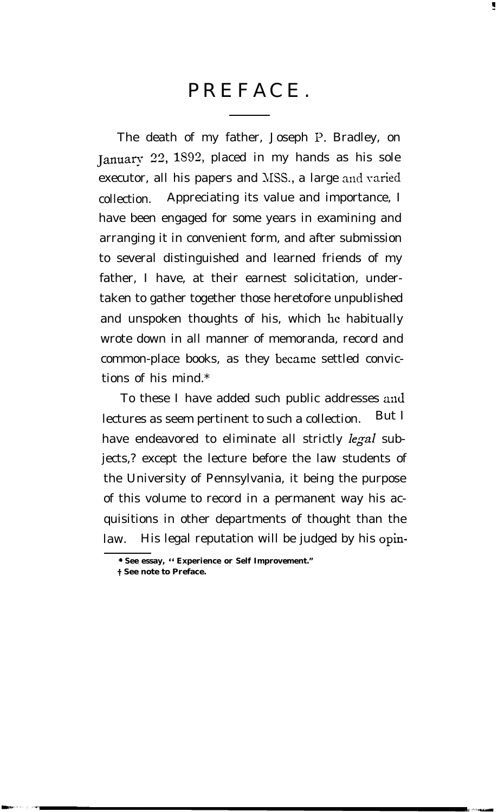# PREFACE.

r

The death of my father, Joseph P. Bradley, on J anuary 33, lS93, placed in my hands as his sole executor, all his papers and MSS., a large and varied collection. Appreciating its value and importance, I have been engaged for some years in examining and arranging it in convenient form, and after submission to several distinguished and learned friends of my father, I have, at their earnest solicitation, undertaken to gather together those heretofore unpublished and unspoken thoughts of his, which he habitually wrote down in all manner of memoranda, record and common-place books, as they became settled convictions of his mind.\*

To these I have added such public addresses and lectures as seem pertinent to such a collection. But I have endeavored to eliminate all strictly *legal* subjects,? except the lecture before the law students of the University of Pennsylvania, it being the purpose of this volume to record in a permanent way his acquisitions in other departments of thought than the law. His legal reputation will be judged by his opin-

**<sup>+</sup> See essay, " Experience or Self Improvement."**

**t See note to Preface.**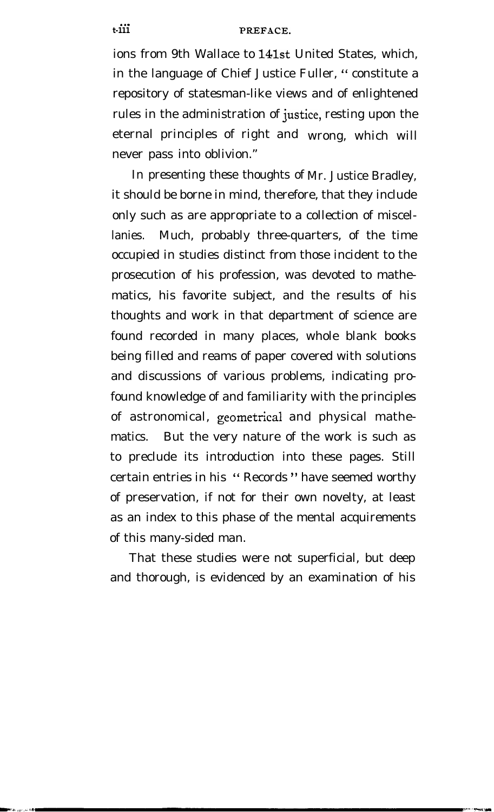ions from 9th Wallace to 14lst United States, which, in the language of Chief Justice Fuller, " constitute a repository of statesman-like views and of enlightened rules in the administration of justice, resting upon the eternal principles of right and wrong, which will never pass into oblivion."

In presenting these thoughts of Mr. Justice Bradley, it should be borne in mind, therefore, that they include only such as are appropriate to a collection of miscellanies. Much, probably three-quarters, of the time occupied in studies distinct from those incident to the prosecution of his profession, was devoted to mathematics, his favorite subject, and the results of his thoughts and work in that department of science are found recorded in many places, whole blank books being filled and reams of paper covered with solutions and discussions of various problems, indicating profound knowledge of and familiarity with the principles of astronomical, geometrical and physical mathematics. But the very nature of the work is such as to preclude its introduction into these pages. Still certain entries in his " Records " have seemed worthy of preservation, if not for their own novelty, at least as an index to this phase of the mental acquirements of this many-sided man.

That these studies were not superficial, but deep and thorough, is evidenced by an examination of his

 $t - 111$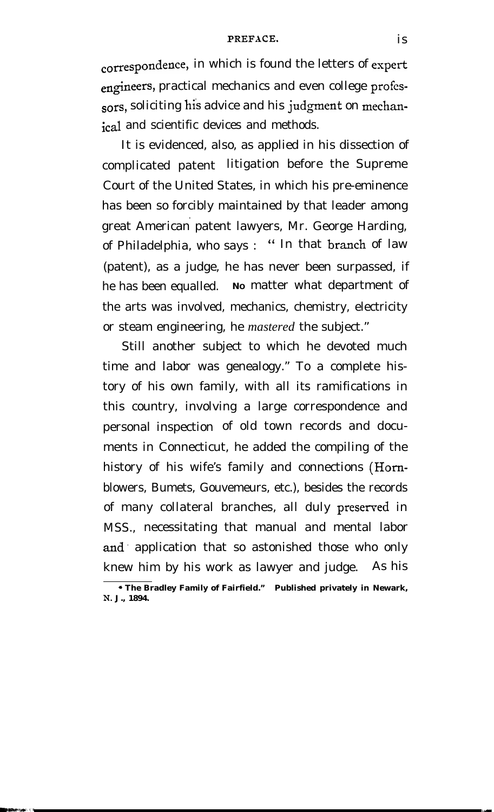#### PREFACE. is

correspondence, in which is found the letters of expert engineers, practical mechanics and even college professors, soliciting his advice and his judgment on mechanical and scientific devices and methods.

It is evidenced, also, as applied in his dissection of complicated patent litigation before the Supreme Court of the United States, in which his pre-eminence has been so forcibly maintained by that leader among . great American patent lawyers, Mr. George Harding, of Philadelphia, who says: " In that branch of law (patent), as a judge, he has never been surpassed, if he has been equalled. **<sup>N</sup><sup>O</sup>** matter what department of the arts was involved, mechanics, chemistry, electricity or steam engineering, he *mastered* the subject."

Still another subject to which he devoted much time and labor was genealogy." To a complete history of his own family, with all its ramifications in this country, involving a large correspondence and personal inspection of old town records and documents in Connecticut, he added the compiling of the history of his wife's family and connections (Homblowers, Bumets, Gouvemeurs, etc.), besides the records of many collateral branches, all duly preserved in MSS., necessitating that manual and mental labor and. application that so astonished those who only knew him by his work as lawyer and judge. As his

**<sup>+</sup> The Bradley Family of Fairfield." Published privately in Newark, N. J., 1894.**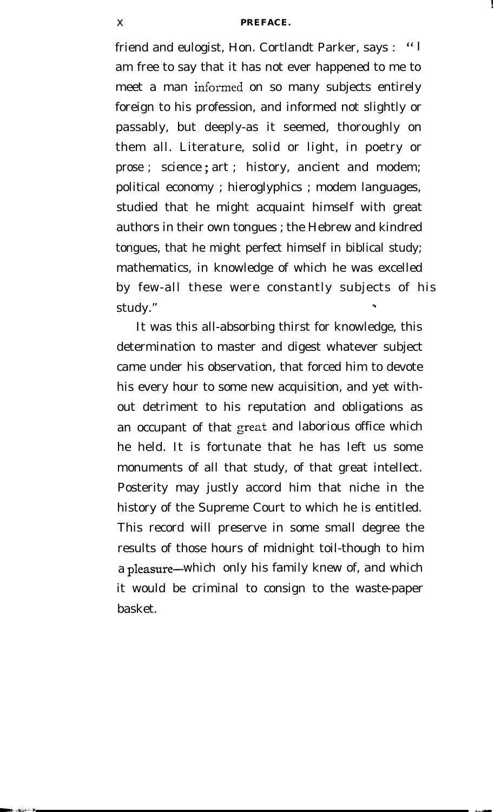friend and eulogist, Hon. Cortlandt Parker, says : " I am free to say that it has not ever happened to me to meet a man informed on so many subjects entirely foreign to his profession, and informed not slightly or passably, but deeply-as it seemed, thoroughly on them all. Literature, solid or light, in poetry or prose ; science ; art ; history, ancient and modem; political economy ; hieroglyphics ; modem languages, studied that he might acquaint himself with great authors in their own tongues ; the Hebrew and kindred tongues, that he might perfect himself in biblical study; mathematics, in knowledge of which he was excelled by few-all these were constantly subjects of his study."

It was this all-absorbing thirst for knowledge, this determination to master and digest whatever subject came under his observation, that forced him to devote his every hour to some new acquisition, and yet without detriment to his reputation and obligations as an occupant of that great and laborious office which he held. It is fortunate that he has left us some monuments of all that study, of that great intellect. Posterity may justly accord him that niche in the history of the Supreme Court to which he is entitled. This record will preserve in some small degree the results of those hours of midnight toil-though to him a pleasure-which only his family knew of, and which it would be criminal to consign to the waste-paper basket.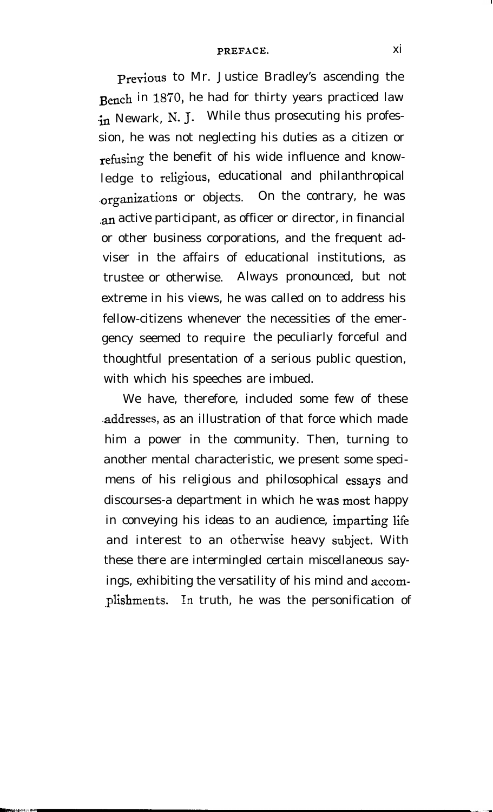#### PREFACE. Xi

previous to Mr. Justice Bradley's ascending the Bench in 1870, he had for thirty years practiced law in Newark, N. J. While thus prosecuting his profession, he was not neglecting his duties as a citizen or refusing the benefit of his wide influence and knowledge to religious, educational and philanthropical .organizations or objects. On the contrary, he was an active participant, as officer or director, in financial or other business corporations, and the frequent adviser in the affairs of educational institutions, as trustee or otherwise. Always pronounced, but not extreme in his views, he was called on to address his fellow-citizens whenever the necessities of the emergency seemed to require the peculiarly forceful and thoughtful presentation of a serious public question, with which his speeches are imbued.

We have, therefore, included some few of these .addresses, as an illustration of that force which made him a power in the community. Then, turning to another mental characteristic, we present some specimens of his religious and philosophical essays and discourses-a department in which he was most happy in conveying his ideas to an audience, imparting life and interest to an otherwise heavy subject. With these there are intermingled certain miscellaneous sayings, exhibiting the versatility of his mind and accomplishments. In truth, he was the personification of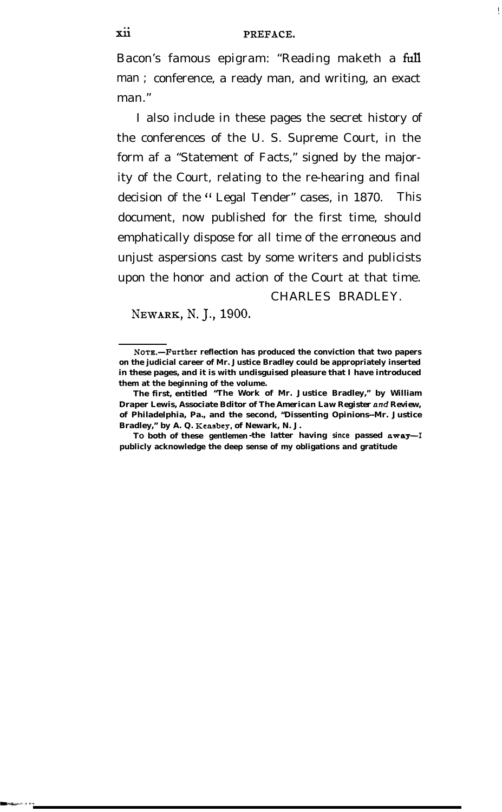Bacon's famous epigram: "Reading maketh a full man ; conference, a ready man, and writing, an exact man."

I also include in these pages the secret history of the conferences of the U. S. Supreme Court, in the form af a "Statement of Facts," signed by the majority of the Court, relating to the re-hearing and final decision of the " Legal Tender" cases, in 1870. This document, now published for the first time, should emphatically dispose for all time of the erroneous and unjust aspersions cast by some writers and publicists upon the honor and action of the Court at that time.

#### CHARLES BRADLEY.

**I .**

NEWARK, N.J.,1900.

**NOT&-Further reflection has produced the conviction that two papers on the judicial career of Mr. Justice Bradley could be appropriately inserted in these pages, and it is with undisguised pleasure that I have introduced them at the beginning of the volume.**

**The first, entitled "The Work of Mr. Justice Bradley," by William Draper Lewis, Associate Bditor of** *The American Law Register and Review,* **of Philadelphia, Pa., and the second, "Dissenting Opinions--Mr. Justice** Bradley," by A. Q. Keasbey, of Newark, N. J.

**TO both of these gentlemen -the latter having since passed away-1 publicly acknowledge the deep sense of my obligations and gratitude**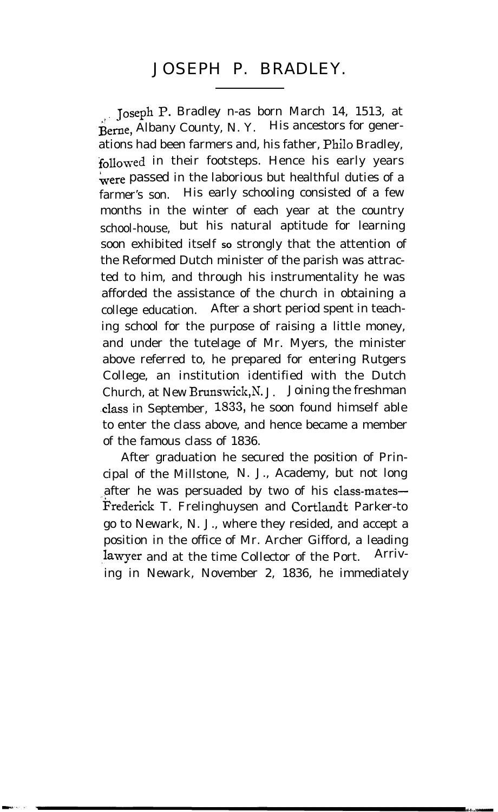# JOSEPH P. BRADLEY.

:, **Joseph** P. Bradley n-as born March 14, 1513, at Berne, Albany County, N. Y. His ancestors for generations had been farmers and, his father, Philo Bradley, followed in their footsteps. Hence his early years were passed in the laborious but healthful duties of a farmer's son. His early schooling consisted of a few months in the winter of each year at the country school-house, but his natural aptitude for learning soon exhibited itself so strongly that the attention of the Reformed Dutch minister of the parish was attracted to him, and through his instrumentality he was afforded the assistance of the church in obtaining a college education. After a short period spent in teaching school for the purpose of raising a little money, and under the tutelage of Mr. Myers, the minister above referred to, he prepared for entering Rutgers College, an institution identified with the Dutch Church, at New Brunswick,N. J. Joining the freshman .class in September, 1533, he soon found himself able to enter the class above, and hence became a member of the famous class of 1836.

After graduation he secured the position of Principal of the Millstone, N. J., Academy, but not long after he was persuaded by two of his class-mates-Frederick T. Frelinghuysen and Cortlandt Parker-to go to Newark, N. J., where they resided, and accept a position in the office of Mr. Archer Gifford, a leading lawyer and at the time Collector of the Port. Arriving in Newark, November 2, 1836, he immediately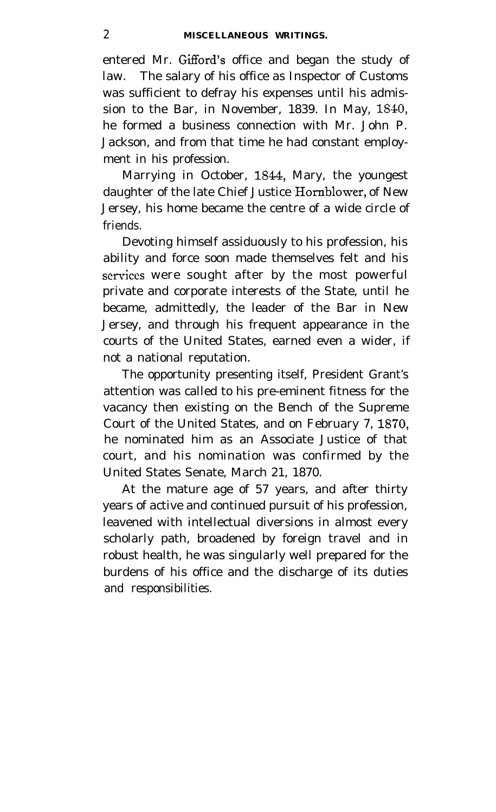entered Mr. Gifford's office and began the study of law. The salary of his office as Inspector of Customs was sufficient to defray his expenses until his admission to the Bar, in November, 1839. In May, 1840, he formed a business connection with Mr. John P. Jackson, and from that time he had constant employment in his profession.

Marrying in October, 1844, Mary, the youngest daughter of the late Chief Justice Hornblower, of New Jersey, his home became the centre of a wide circle of friends.

Devoting himself assiduously to his profession, his ability and force soon made themselves felt and his scrviccs were sought after by the most powerful private and corporate interests of the State, until he became, admittedly, the leader of the Bar in New Jersey, and through his frequent appearance in the courts of the United States, earned even a wider, if not a national reputation.

The opportunity presenting itself, President Grant's attention was called to his pre-eminent fitness for the vacancy then existing on the Bench of the Supreme Court of the United States, and on February 7, 1870, he nominated him as an Associate Justice of that court, and his nomination was confirmed by the United States Senate, March 21, 1870.

At the mature age of 57 years, and after thirty years of active and continued pursuit of his profession, leavened with intellectual diversions in almost every scholarly path, broadened by foreign travel and in robust health, he was singularly well prepared for the burdens of his office and the discharge of its duties and responsibilities.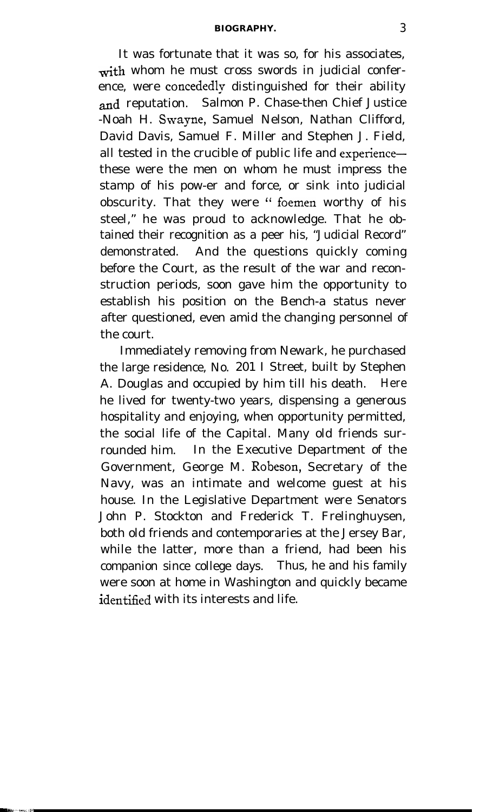#### **BIOGRAPHY.** 3

It was fortunate that it was so, for his associates, with whom he must cross swords in judicial conference, were concededly distinguished for their ability and reputation. Salmon P. Chase-then Chief Justice -Noah H. Swayne, Samuel Nelson, Nathan Clifford, David Davis, Samuel F. Miller and Stephen J. Field, all tested in the crucible of public life and experiencethese were the men on whom he must impress the stamp of his pow-er and force, or sink into judicial obscurity. That they were " foemen worthy of his steel," he was proud to acknowledge. That he obtained their recognition as a peer his, "Judicial Record" demonstrated. And the questions quickly coming before the Court, as the result of the war and reconstruction periods, soon gave him the opportunity to establish his position on the Bench-a status never after questioned, even amid the changing personnel of the court.

Immediately removing from Newark, he purchased the large residence, No. 201 I Street, built by Stephen A. Douglas and occupied by him till his death. Here he lived for twenty-two years, dispensing a generous hospitality and enjoying, when opportunity permitted, the social life of the Capital. Many old friends surrounded him. In the Executive Department of the Government, George M. Robeson, Secretary of the Navy, was an intimate and welcome guest at his house. In the Legislative Department were Senators John P. Stockton and Frederick T. Frelinghuysen, both old friends and contemporaries at the Jersey Bar, while the latter, more than a friend, had been his companion since college days. Thus, he and his family were soon at home in Washington and quickly became identified with its interests and life.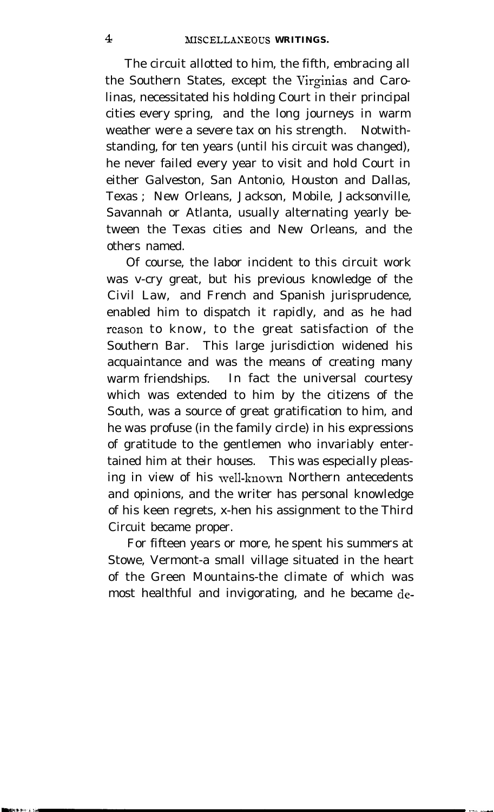The circuit allotted to him, the fifth, embracing all the Southern States, except the Virginias and Carolinas, necessitated his holding Court in their principal cities every spring, and the long journeys in warm weather were a severe tax on his strength. Notwithstanding, for ten years (until his circuit was changed), he never failed every year to visit and hold Court in either Galveston, San Antonio, Houston and Dallas, Texas ; New Orleans, Jackson, Mobile, Jacksonville, Savannah or Atlanta, usually alternating yearly between the Texas cities and New Orleans, and the others named.

Of course, the labor incident to this circuit work was v-cry great, but his previous knowledge of the Civil Law, and French and Spanish jurisprudence, enabled him to dispatch it rapidly, and as he had reason to know, to the great satisfaction of the Southern Bar. This large jurisdiction widened his acquaintance and was the means of creating many warm friendships. In fact the universal courtesy which was extended to him by the citizens of the South, was a source of great gratification to him, and he was profuse (in the family circle) in his expressions of gratitude to the gentlemen who invariably entertained him at their houses. This was especially pleasing in view of his well-known Northern antecedents and opinions, and the writer has personal knowledge of his keen regrets, x-hen his assignment to the Third Circuit became proper.

For fifteen years or more, he spent his summers at Stowe, Vermont-a small village situated in the heart of the Green Mountains-the climate of which was most healthful and invigorating, and he became de-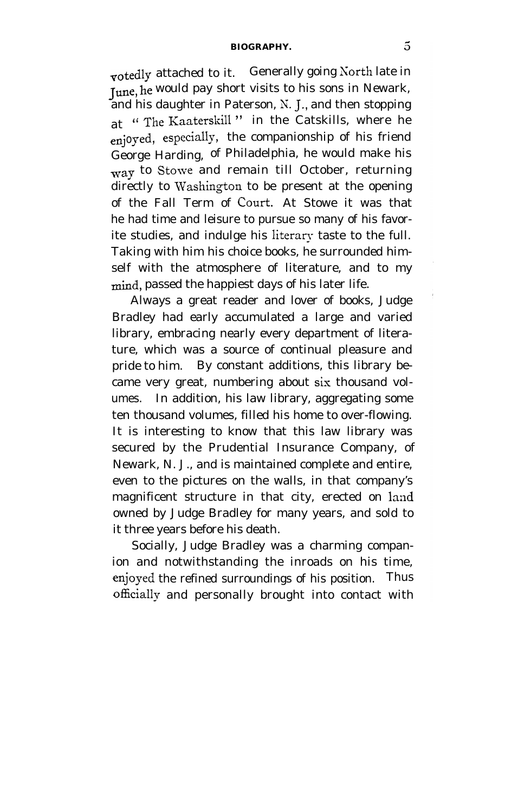#### **BIOGRAPHY. 5**

votedly attached to it. Generally going North late in **June, he** would pay short visits to his sons in Newark, and his daughter in Paterson, N. J., and then stopping at "The Kaaterskill" in the Catskills, where he enjo yed, especially, the companionship of his friend George Harding, of Philadelphia, he would make his way to Stowe and remain till October, returning directly to Washington to be present at the opening of the Fall Term of **COWL** At Stowe it was that he had time and leisure to pursue so many of his favorite studies, and indulge his literary taste to the full. Taking with him his choice books, he surrounded himself with the atmosphere of literature, and to my mind, passed the happiest days of his later life.

Always a great reader and lover of books, Judge Bradley had early accumulated a large and varied library, embracing nearly every department of literature, which was a source of continual pleasure and pride to him. By constant additions, this library became very great, numbering about six thousand volumes. In addition, his law library, aggregating some ten thousand volumes, filled his home to over-flowing. It is interesting to know that this law library was secured by the Prudential Insurance Company, of Newark, N. J., and is maintained complete and entire, even to the pictures on the walls, in that company's magnificent structure in that city, erected on land owned by Judge Bradley for many years, and sold to it three years before his death.

Socially, Judge Bradley was a charming companion and notwithstanding the inroads on his time, enjoyed the refined surroundings of his position. Thus officially and personally brought into contact with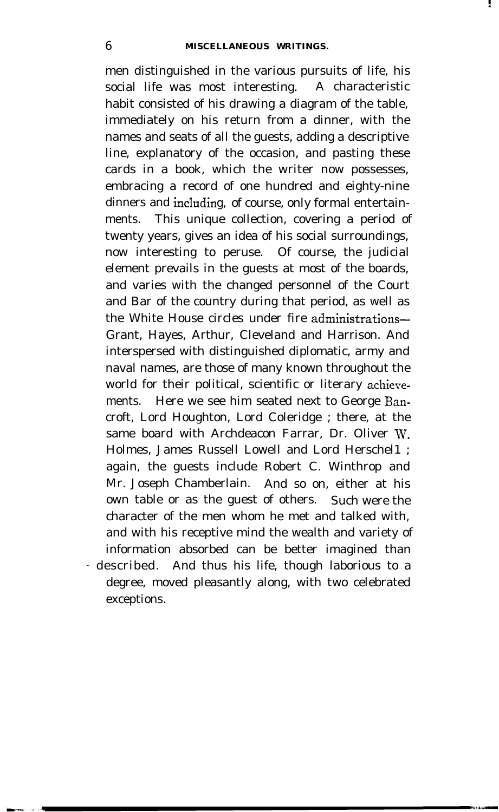men distinguished in the various pursuits of life, his social life was most interesting. A characteristic habit consisted of his drawing a diagram of the table, immediately on his return from a dinner, with the names and seats of all the guests, adding a descriptive line, explanatory of the occasion, and pasting these cards in a book, which the writer now possesses, embracing a record of one hundred and eighty-nine dinners and including, of course, only formal entertainments. This unique collection, covering a period of twenty years, gives an idea of his social surroundings, now interesting to peruse. Of course, the judicial element prevails in the guests at most of the boards, and varies with the changed personnel of the Court and Bar of the country during that period, as well as the White House circles under fire administrations-Grant, Hayes, Arthur, Cleveland and Harrison. And interspersed with distinguished diplomatic, army and naval names, are those of many known throughout the world for their political, scientific or literary achierements. Here we see him seated next to George Bancroft, Lord Houghton, Lord Coleridge ; there, at the same board with Archdeacon Farrar, Dr. Oliver W. Holmes, James Russell Lowell and Lord Herschel1 ; again, the guests include Robert C. Winthrop and Mr. Joseph Chamberlain. And so on, either at his own table or as the guest of others. Such were the character of the men whom he met and talked with, and with his receptive mind the wealth and variety of information absorbed can be better imagined than - described. And thus his life, though laborious to a

degree, moved pleasantly along, with two celebrated exceptions.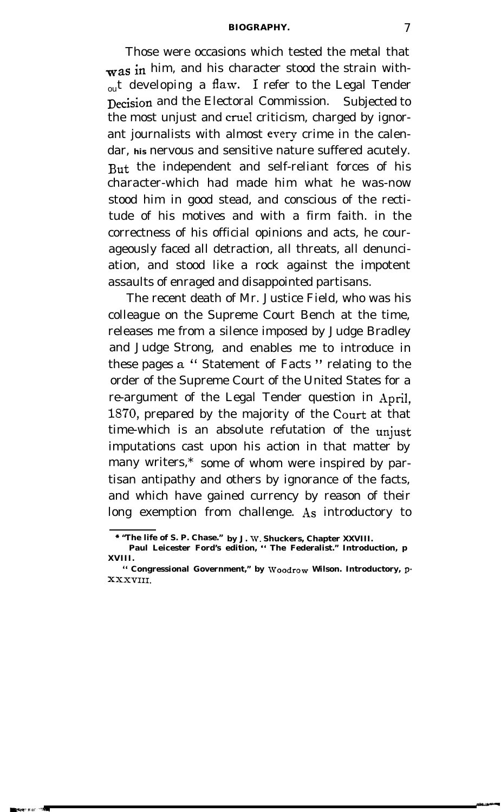#### **BIOGRAPHY.** 7

Those were occasions which tested the metal that  $\mathbf{w}$ as in him, and his character stood the strain with- $_{\text{out}}$  developing a flaw. I refer to the Legal Tender Decision and the Electoral Commission. Subjected to the most unjust and cruel criticism, charged by ignorant journalists with almost every crime in the calendar, **his** nervous and sensitive nature suffered acutely. But the independent and self-reliant forces of his character-which had made him what he was-now stood him in good stead, and conscious of the rectitude of his motives and with a firm faith. in the correctness of his official opinions and acts, he courageously faced all detraction, all threats, all denunciation, and stood like a rock against the impotent assaults of enraged and disappointed partisans.

The recent death of Mr. Justice Field, who was his colleague on the Supreme Court Bench at the time, releases me from a silence imposed by Judge Bradley and Judge Strong, and enables me to introduce in these pages a " Statement of Facts " relating to the order of the Supreme Court of the United States for a re-argument of the Legal Tender question in April, 1870, prepared by the majority of the **Court** at that time-which is an absolute refutation of the **unjust** imputations cast upon his action in that matter by many writers,\* some of whom were inspired by partisan antipathy and others by ignorance of the facts, and which have gained currency by reason of their long exemption from challenge. As introductory to

**<sup>\* &</sup>quot;The life of S. P. Chase." by J. W. Shuckers, Chapter XXVIII.**

**Paul Leicester Ford's edition, " The Federalist." Introduction, p XVIII.**

**<sup>&</sup>quot; Congressional Government," by Woodrom Wilson. Introductory, p-XXXVIII.**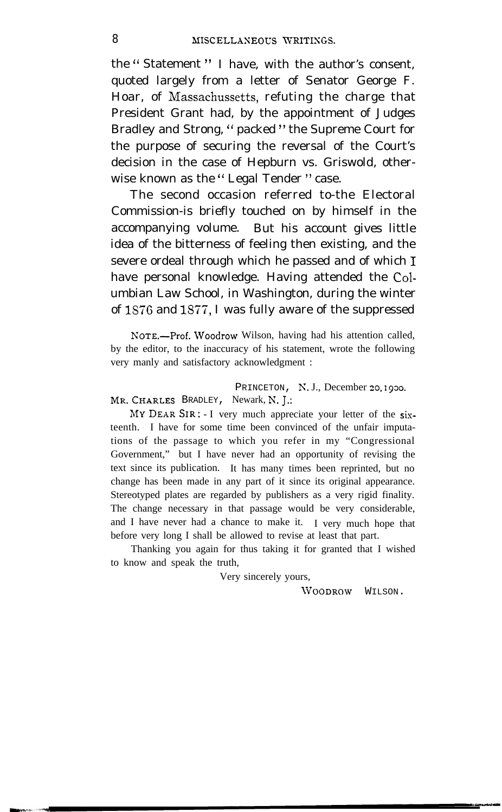the " Statement " I have, with the author's consent, quoted largely from a letter of Senator George F. Hoar, of Massachussetts, refuting the charge that President Grant had, by the appointment of Judges Bradley and Strong, " packed " the Supreme Court for the purpose of securing the reversal of the Court's decision in the case of Hepburn vs. Griswold, otherwise known as the "Legal Tender" case.

The second occasion referred to-the Electoral Commission-is briefly touched on by himself in the accompanying volume. But his account gives little idea of the bitterness of feeling then existing, and the severe ordeal through which he passed and of which 1 have personal knowledge. Having attended the Columbian Law School, in Washington, during the winter of 1876 and 1877, I was fully aware of the suppressed

NOTE.-Prof. Woodrow Wilson, having had his attention called, by the editor, to the inaccuracy of his statement, wrote the following very manly and satisfactory acknowledgment :

PRINCETON, N.J., December 20, 1930. MR. CHARLES BRADLEY, Newark, N. J.:

 $MYDEAR$  SIR: - I very much appreciate your letter of the  $six$ teenth. I have for some time been convinced of the unfair imputations of the passage to which you refer in my "Congressional Government," but I have never had an opportunity of revising the text since its publication. It has many times been reprinted, but no change has been made in any part of it since its original appearance. Stereotyped plates are regarded by publishers as a very rigid finality. The change necessary in that passage would be very considerable, and I have never had a chance to make it. I very much hope that before very long I shall be allowed to revise at least that part.

Thanking you again for thus taking it for granted that I wished to know and speak the truth,

Very sincerely yours,

WOODROW WILSON.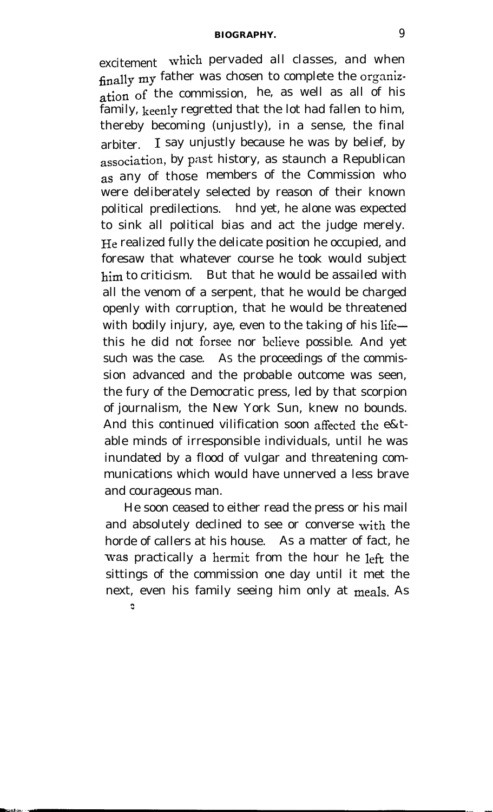#### **BIOGRAPHY.** 9

excitement which pervaded all classes, and when finally my father was chosen to complete the organiz- $\frac{1}{\pi}$  ation of the commission, he, as well as all of his family, keenly regretted that the lot had fallen to him, thereby becoming (unjustly), in a sense, the final arbiter. 1 say unjustly because he was by belief, by association, by past history, as staunch a Republican as any of those members of the Commission who were deliberately selected by reason of their known political predilections. hnd yet, he alone was expected to sink all political bias and act the judge merely. He realized fully the delicate position he occupied, and foresaw that whatever course he took would subject him to criticism. But that he would be assailed with all the venom of a serpent, that he would be charged openly with corruption, that he would be threatened with bodily injury, aye, even to the taking of his lifethis he did not forsee nor believe possible. And yet such was the case. AS the proceedings of the commission advanced and the probable outcome was seen, the fury of the Democratic press, led by that scorpion of journalism, the New York Sun, knew no bounds. And this continued vilification soon affected the e&table minds of irresponsible individuals, until he was inundated by a flood of vulgar and threatening communications which would have unnerved a less brave and courageous man.

He soon ceased to either read the press or his mail and absolutely declined to see or converse with the horde of callers at his house. As a matter of fact, he was practically a hermit from the hour he left the sittings of the commission one day until it met the next, even his family seeing him only at meals. As n"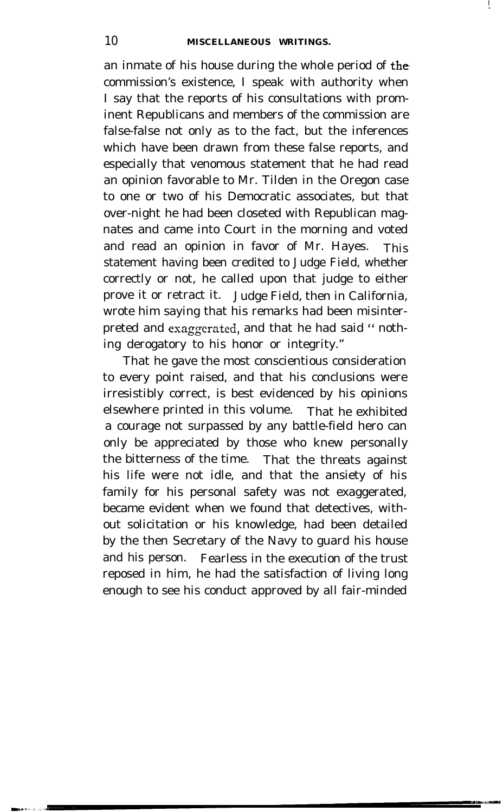**I .**

an inmate of his house during the whole period of the. commission's existence, I speak with authority when I say that the reports of his consultations with prominent Republicans and members of the commission are false-false not only as to the fact, but the inferences which have been drawn from these false reports, and especially that venomous statement that he had read an opinion favorable to Mr. Tilden in the Oregon case to one or two of his Democratic associates, but that over-night he had been closeted with Republican magnates and came into Court in the morning and voted and read an opinion in favor of Mr. Hayes. This statement having been credited to Judge Field, whether correctly or not, he called upon that judge to either prove it or retract it. Judge Field, then in California, wrote him saying that his remarks had been misinterpreted and exaggerated, and that he had said " nothing derogatory to his honor or integrity."

That he gave the most conscientious consideration to every point raised, and that his conclusions were irresistibly correct, is best evidenced by his opinions elsewhere printed in this volume. That he exhibited a courage not surpassed by any battle-field hero can only be appreciated by those who knew personally the bitterness of the time. That the threats against his life were not idle, and that the ansiety of his family for his personal safety was not exaggerated, became evident when we found that detectives, without solicitation or his knowledge, had been detailed by the then Secretary of the Navy to guard his house and his person. Fearless in the execution of the trust reposed in him, he had the satisfaction of living long enough to see his conduct approved by all fair-minded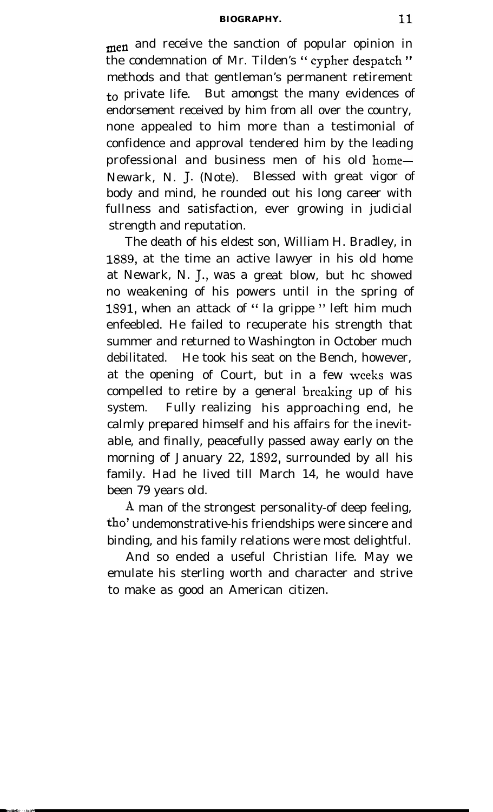#### **BIOGRAPHY.** 11

men and receive the sanction of popular opinion in the condemnation of Mr. Tilden's " cypher despatch " methods and that gentleman's permanent retirement  $\tau$  private life. But amongst the many evidences of endorsement received by him from all over the country, none appealed to him more than a testimonial of confidence and approval tendered him by the leading professional and business men of his old home-Newark, N. J. (Note). Blessed with great vigor of body and mind, he rounded out his long career with fullness and satisfaction, ever growing in judicial strength and reputation.

The death of his eldest son, William H. Bradley, in 1889, at the time an active lawyer in his old home at Newark, N. J., was a great blow, but hc showed no weakening of his powers until in the spring of 1891, when an attack of " la grippe " left him much enfeebled. He failed to recuperate his strength that summer and returned to Washington in October much debilitated. He took his seat on the Bench, however, at the opening of Court, but in a few weeks was compelled to retire by a general breaking up of his system. Fully realizing his approaching end, he calmly prepared himself and his affairs for the inevitable, and finally, peacefully passed away early on the morning of January 22, 1892, surrounded by all his family. Had he lived till March 14, he would have been 79 years old.

A man of the strongest personality-of deep feeling, the' undemonstrative-his friendships were sincere and binding, and his family relations were most delightful.

And so ended a useful Christian life. May we emulate his sterling worth and character and strive to make as good an American citizen.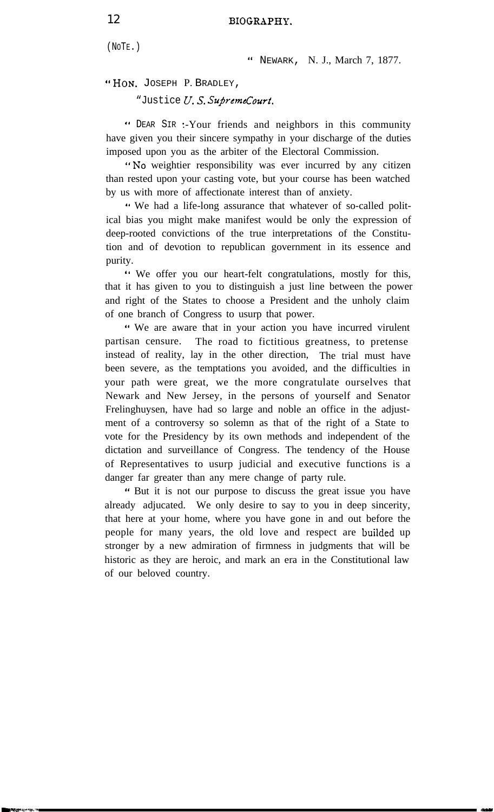(NOTE.)

a' NEWARK, N. J., March 7, 1877.

"HON. JOSEPH P. BRADLEY,

"Justice U.S. SupremeCourt.

(a DEAR SIR -.-Your friends and neighbors in this community have given you their sincere sympathy in your discharge of the duties imposed upon you as the arbiter of the Electoral Commission.

"No weightier responsibility was ever incurred by any citizen than rested upon your casting vote, but your course has been watched by us with more of affectionate interest than of anxiety.

'I We had a life-long assurance that whatever of so-called political bias you might make manifest would be only the expression of deep-rooted convictions of the true interpretations of the Constitution and of devotion to republican government in its essence and purity.

'I We offer you our heart-felt congratulations, mostly for this, that it has given to you to distinguish a just line between the power and right of the States to choose a President and the unholy claim of one branch of Congress to usurp that power.

" We are aware that in your action you have incurred virulent partisan censure. The road to fictitious greatness, to pretense instead of reality, lay in the other direction, The trial must have been severe, as the temptations you avoided, and the difficulties in your path were great, we the more congratulate ourselves that Newark and New Jersey, in the persons of yourself and Senator Frelinghuysen, have had so large and noble an office in the adjustment of a controversy so solemn as that of the right of a State to vote for the Presidency by its own methods and independent of the dictation and surveillance of Congress. The tendency of the House of Representatives to usurp judicial and executive functions is a danger far greater than any mere change of party rule.

" But it is not our purpose to discuss the great issue you have already adjucated. We only desire to say to you in deep sincerity, that here at your home, where you have gone in and out before the people for many years, the old love and respect are builded up stronger by a new admiration of firmness in judgments that will be historic as they are heroic, and mark an era in the Constitutional law of our beloved country.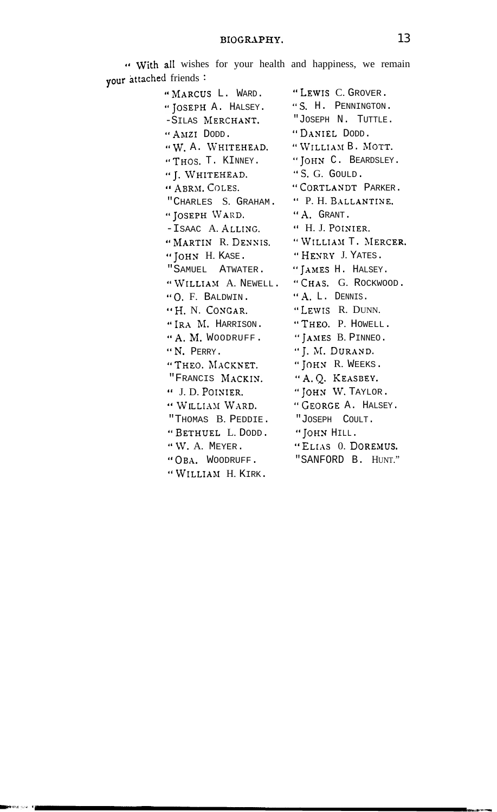| i friends $\cdot$   |                     |
|---------------------|---------------------|
| "MARCUS L. WARD.    | "LEWIS C. GROVER.   |
| "JOSEPH A. HALSEY.  | "S. H. PENNINGTON.  |
| -SILAS MERCHANT.    | "JOSEPH N. TUTTLE.  |
| "AMZI DODD.         | "DANIEL DODD.       |
| "W. A. WHITEHEAD.   | "WILLIAM B. MOTT.   |
| "THOS. T. KINNEY.   | "JOHN C. BEARDSLEY. |
| "J. WHITEHEAD.      | "S. G. GOULD.       |
| " ABRM. COLES.      | "CORTLANDT PARKER.  |
| "CHARLES S. GRAHAM. | " P. H. BALLANTINE. |
| "JOSEPH WARD.       | "A. GRANT.          |
| -ISAAC A. ALLING.   | " H. J. POINIER.    |
| "MARTIN R. DENNIS.  | "WILLIAM T. MERCER. |
| "JOHN H. KASE.      | "HENRY J. YATES.    |
| "SAMUEL ATWATER.    | "JAMES H. HALSEY.   |
| "WILLIAM A. NEWELL. | "CHAS. G. ROCKWOOD. |
| "O. F. BALDWIN.     | "A. L. DENNIS.      |
| "H. N. CONGAR.      | "LEWIS R. DUNN.     |
| "IRA M. HARRISON.   | "THEO. P. HOWELL.   |
| "A. M. WOODRUFF.    | "JAMES B. PINNEO.   |
| "N. PERRY.          | "J. M. DURAND.      |
| "THEO. MACKNET.     | "JOHN R. WEEKS.     |
| "FRANCIS MACKIN.    | "A. Q. KEASBEY.     |
| " J. D. POINIER.    | "JOHN W. TAYLOR.    |
| " WILLIAM WARD.     | "GEORGE A. HALSEY.  |
| "THOMAS B. PEDDIE.  | "JOSEPH COULT.      |
| "BETHUEL L. DODD.   | "JOHN HILL.         |
| "W. A. MEYER.       | "ELIAS O. DOREMUS.  |
| "OBA. WOODRUFF.     | "SANFORD B. HUNT."  |
| "WILLIAM H. KIRK.   |                     |

nea san n<mark>ai</mark>

" With all wishes for your health and happiness, we remain vour attached friends: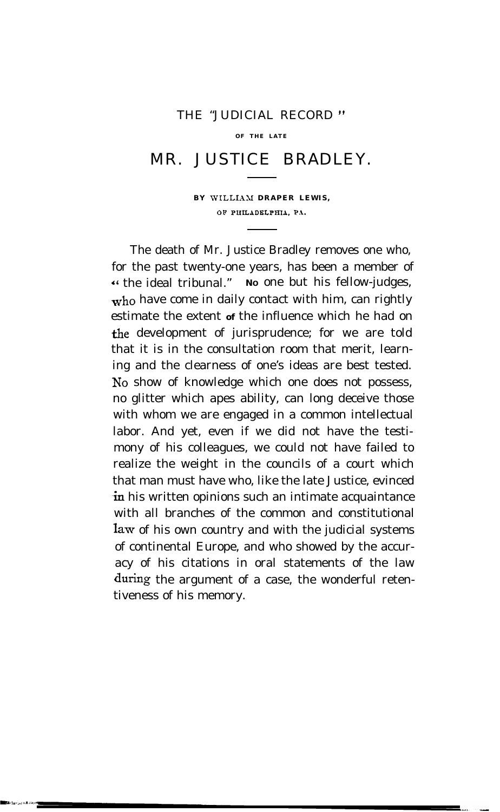#### THE "JUDICIAL RECORD "

**OF THE LATE**

### MR. JUSTICE BRADLEY.

**BY WILLIAM DRAPER LEWIS, OP PUKLADELPIUA, PI.**

The death of Mr. Justice Bradley removes one who, for the past twenty-one years, has been a member of 4' the ideal tribunal." **<sup>N</sup><sup>O</sup>** one but his fellow-judges, who have come in daily contact with him, can rightly estimate the extent **of** the influence which he had on the development of jurisprudence; for we are told that it is in the consultation room that merit, learning and the clearness of one's ideas are best tested. No show of knowledge which one does not possess, no glitter which apes ability, can long deceive those with whom we are engaged in a common intellectual labor. And yet, even if we did not have the testimony of his colleagues, we could not have failed to realize the weight in the councils of a court which that man must have who, like the late Justice, evinced in his written opinions such an intimate acquaintance with all branches of the common and constitutional law of his own country and with the judicial systems of continental Europe, and who showed by the accuracy of his citations in oral statements of the law during the argument of a case, the wonderful retentiveness of his memory.

الماري الماري بين الماري بين الماري<br>الماري الماري الماري الماري الماري الماري الماري الماري الماري الماري الماري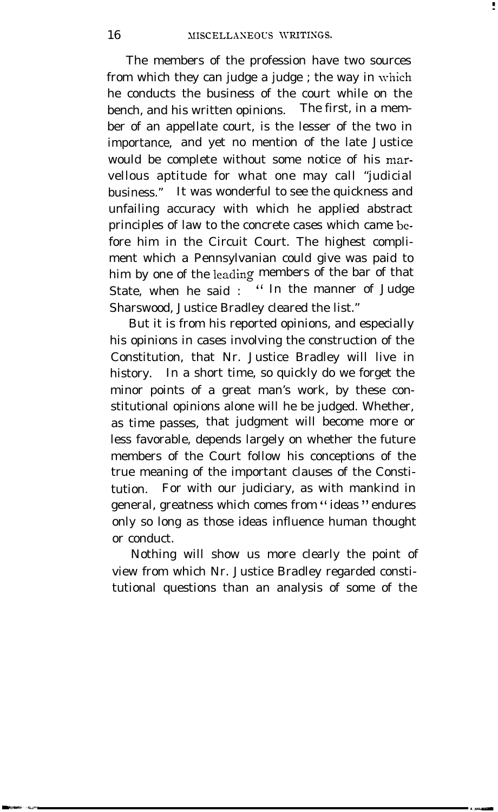The members of the profession have two sources from which they can judge a judge ; the way in which he conducts the business of the court while on the bench, and his written opinions. The first, in a member of an appellate court, is the lesser of the two in importance, and yet no mention of the late Justice would be complete without some notice of his marvellous aptitude for what one may call "judicial business." It was wonderful to see the quickness and unfailing accuracy with which he applied abstract principles of law to the concrete cases which came bcfore him in the Circuit Court. The highest compliment which a Pennsylvanian could give was paid to him by one of the leading members of the bar of that State, when he said : " In the manner of Judge Sharswood, Justice Bradley cleared the list."

But it is from his reported opinions, and especially his opinions in cases involving the construction of the Constitution, that Nr. Justice Bradley will live in history. In a short time, so quickly do we forget the minor points of a great man's work, by these constitutional opinions alone will he be judged. Whether, as time passes, that judgment will become more or less favorable, depends largely on whether the future members of the Court follow his conceptions of the true meaning of the important clauses of the Constitution. For with our judiciary, as with mankind in general, greatness which comes from "ideas" endures only so long as those ideas influence human thought or conduct.

Nothing will show us more clearly the point of view from which Nr. Justice Bradley regarded constitutional questions than an analysis of some of the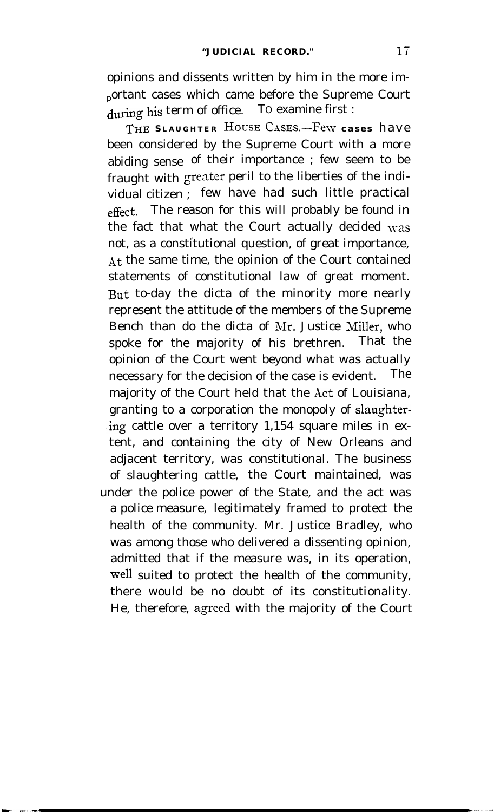opinions and dissents written by him in the more im<sup>p</sup>ortant cases which came before the Supreme Court during his term of office. TO examine first :

**THE S LAUGHTER HOVSE CasEs.-Few cases** have been considered by the Supreme Court with a more abiding sense of their importance ; few seem to be fraught with greater peril to the liberties of the individual citizen ; few have had such little practical effect, The reason for this will probably be found in the fact that what the Court actually decided was . not, as a constitutional question, of great importance, At the same time, the opinion of the Court contained statements of constitutional law of great moment. But to-day the dicta of the minority more nearly represent the attitude of the members of the Supreme Bench than do the dicta of Mr. Justice Miller, who spoke for the majority of his brethren. That the opinion of the Court went beyond what was actually necessary for the decision of the case is evident. The majority of the Court held that the Act of Louisiana, granting to a corporation the monopoly of slaughter- .ing cattle over a territory 1,154 square miles in extent, and containing the city of New Orleans and adjacent territory, was constitutional. The business of slaughtering cattle, the Court maintained, was under the police power of the State, and the act was a police measure, legitimately framed to protect the health of the community. Mr. Justice Bradley, who was among those who delivered a dissenting opinion, admitted that if the measure was, in its operation, well suited to protect the health of the community, there would be no doubt of its constitutionality. He, therefore, agreed with the majority of the Court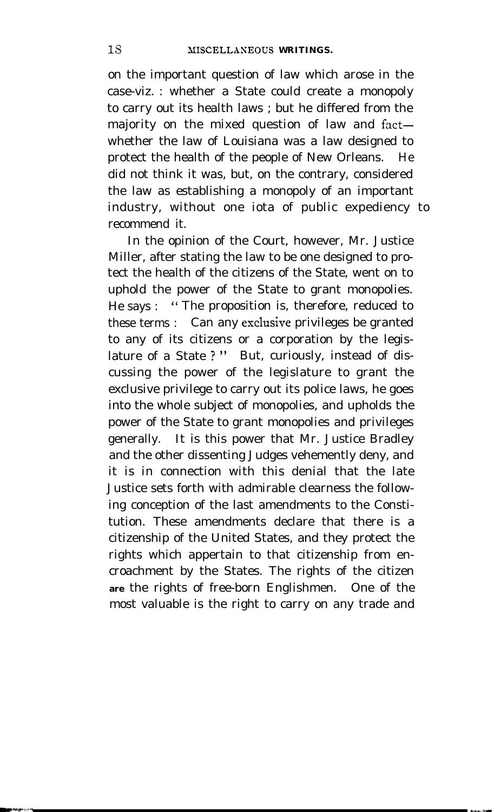on the important question of law which arose in the case-viz. : whether a State could create a monopoly to carry out its health laws ; but he differed from the majority on the mixed question of law and factwhether the law of Louisiana was a law designed to protect the health of the people of New Orleans. He did not think it was, but, on the contrary, considered the law as establishing a monopoly of an important industry, without one iota of public expediency to recommend it.

In the opinion of the Court, however, Mr. Justice Miller, after stating the law to be one designed to protect the health of the citizens of the State, went on to uphold the power of the State to grant monopolies. He says : " The proposition is, therefore, reduced to these terms : Can any esclusive privileges be granted to any of its citizens or a corporation by the legislature of a State ? " But, curiously, instead of discussing the power of the legislature to grant the exclusive privilege to carry out its police laws, he goes into the whole subject of monopolies, and upholds the power of the State to grant monopolies and privileges generally. It is this power that Mr. Justice Bradley and the other dissenting Judges vehemently deny, and it is in connection with this denial that the late Justice sets forth with admirable clearness the following conception of the last amendments to the Constitution. These amendments declare that there is a citizenship of the United States, and they protect the rights which appertain to that citizenship from encroachment by the States. The rights of the citizen **are** the rights of free-born Englishmen. One of the most valuable is the right to carry on any trade and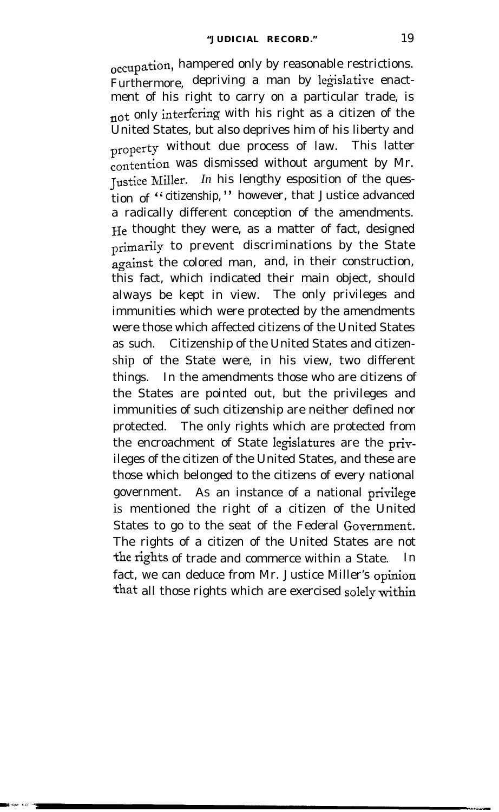occupation, hampered only by reasonable restrictions. Furthermore, depriving a man by legislative enactment of his right to carry on a particular trade, is not only interfering with his right as a citizen of the United States, but also deprives him of his liberty and property without due process of law. This latter contention was dismissed without argument by Mr. Tustice Miller. *In* his lengthy esposition of the question of " citizenship," however, that Justice advanced a radically different conception of the amendments. He thought they were, as a matter of fact, designed primarily to prevent discriminations by the State against the colored man, and, in their construction, this fact, which indicated their main object, should always be kept in view. The only privileges and immunities which were protected by the amendments were those which affected citizens of the United States as such. Citizenship of the United States and citizenship of the State were, in his view, two different things. In the amendments those who are citizens of the States are pointed out, but the privileges and immunities of such citizenship are neither defined nor protected. The only rights which are protected from the encroachment of State legislatures are the privileges of the citizen of the United States, and these are those which belonged to the citizens of every national government. A<sup>S</sup> an instance of a national privilege is mentioned the right of a citizen of the United States to go to the seat of the Federal Government. The rights of a citizen of the United States are not the rights of trade and commerce within a State. In fact, we can deduce from Mr. Justice Miller's opinion that all those rights which are exercised solely within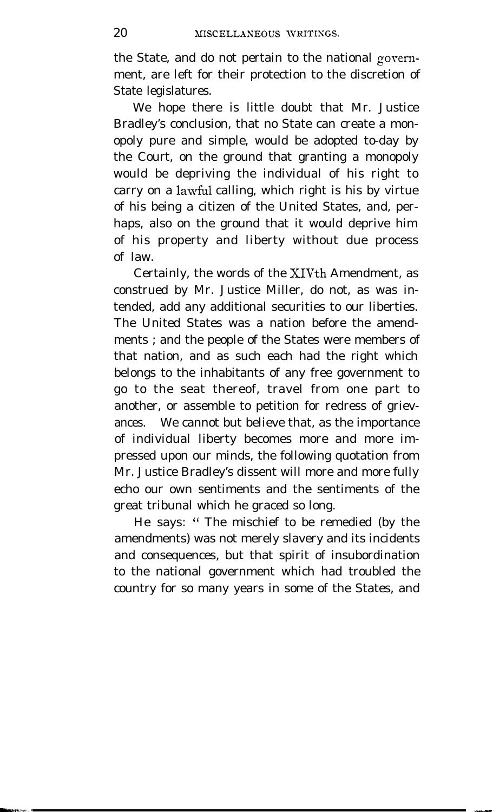the State, and do not pertain to the national gorernment, are left for their protection to the discretion of State legislatures.

We hope there is little doubt that Mr. Justice Bradley's conclusion, that no State can create a monopoly pure and simple, would be adopted to-day by the Court, on the ground that granting a monopoly would be depriving the individual of his right to carry on a lawful calling, which right is his by virtue of his being a citizen of the United States, and, perhaps, also on the ground that it would deprive him of his property and liberty without due process of law.

Certainly, the words of the XIVth Amendment, as construed by Mr. Justice Miller, do not, as was intended, add any additional securities to our liberties. The United States was a nation before the amendments ; and the people of the States were members of that nation, and as such each had the right which belongs to the inhabitants of any free government to go to the seat thereof, travel from one part to another, or assemble to petition for redress of grievances. We cannot but believe that, as the importance of individual liberty becomes more and more impressed upon our minds, the following quotation from Mr. Justice Bradley's dissent will more and more fully echo our own sentiments and the sentiments of the great tribunal which he graced so long.

He says: " The mischief to be remedied (by the amendments) was not merely slavery and its incidents and consequences, but that spirit of insubordination to the national government which had troubled the country for so many years in some of the States, and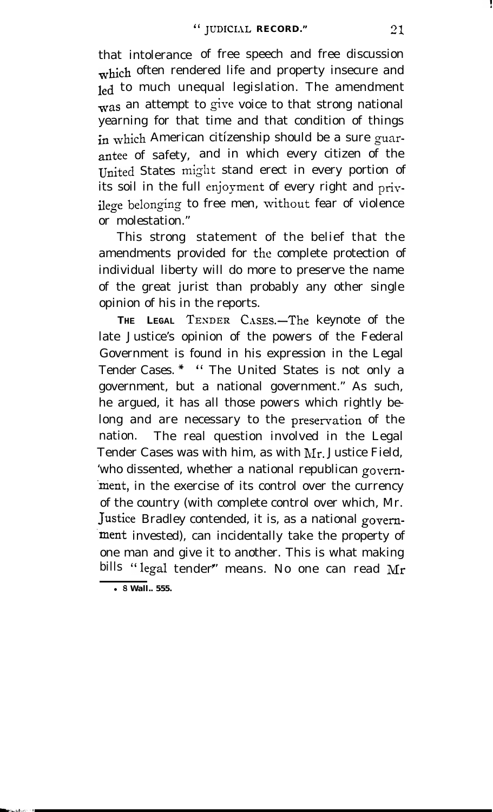that intolerance of free speech and free discussion which often rendered life and property insecure and led to much unequal legislation. The amendment was an attempt to give voice to that strong national yearning for that time and that condition of things in which American citizenship should be a sure guarantee of safety, and in which every citizen of the United States might stand erect in every portion of its soil in the full enjoyment of every right and privilege belonging to free men, without fear of violence or molestation."

This strong statement of the belief that the amendments provided for the complete protection of individual liberty will do more to preserve the name of the great jurist than probably any other single opinion of his in the reports.

**THE LEGAL TEXDER** CasEs.-The keynote of the late Justice's opinion of the powers of the Federal Government is found in his expression in the Legal Tender Cases. \* " The United States is not only a government, but a national government." As such, he argued, it has all those powers which rightly belong and are necessary to the preservation of the nation. The real question involved in the Legal Tender Cases was with him, as with Mr. Justice Field, 'who dissented, whether a national republican govem- 'ment, in the exercise of its control over the currency of the country (with complete control over which, Mr. Justice Bradley contended, it is, as a national govem ment invested), can incidentally take the property of one man and give it to another. This is what making bills "legal tender" means. No one can read Mr

l **8 Wall.. 555.**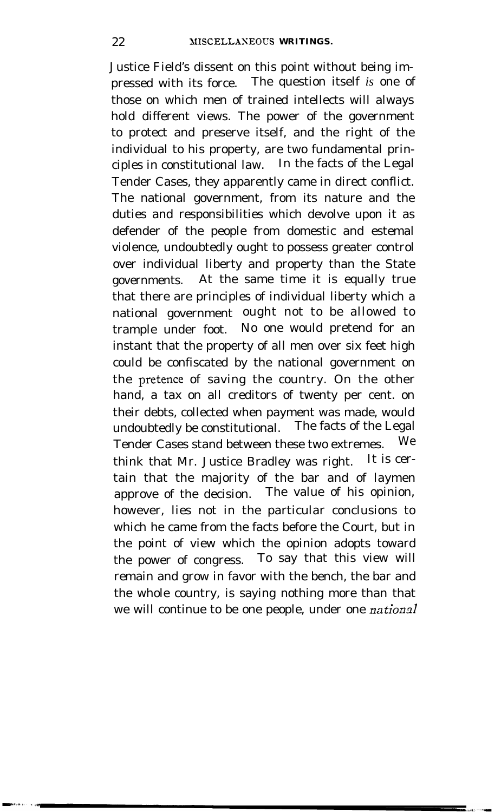Justice Field's dissent on this point without being impressed with its force. The question itself *is* one of those on which men of trained intellects will always hold different views. The power of the government to protect and preserve itself, and the right of the individual to his property, are two fundamental principles in constitutional law. In the facts of the Legal Tender Cases, they apparently came in direct conflict. The national government, from its nature and the duties and responsibilities which devolve upon it as defender of the people from domestic and estemal violence, undoubtedly ought to possess greater control over individual liberty and property than the State governments. At the same time it is equally true that there are principles of individual liberty which a national government ought not to be allowed to trample under foot. No one would pretend for an instant that the property of all men over six feet high could be confiscated by the national government on the pretence of saving the country. On the other hand, a tax on all creditors of twenty per cent. on their debts, collected when payment was made, would undoubtedly be constitutional. The facts of the Legal Tender Cases stand between these two extremes. We think that Mr. Justice Bradley was right. It is certain that the majority of the bar and of laymen approve of the decision. The value of his opinion, however, lies not in the particular conclusions to which he came from the facts before the Court, but in the point of view which the opinion adopts toward the power of congress. To say that this view will remain and grow in favor with the bench, the bar and the whole country, is saying nothing more than that we will continue to be one people, under one *national*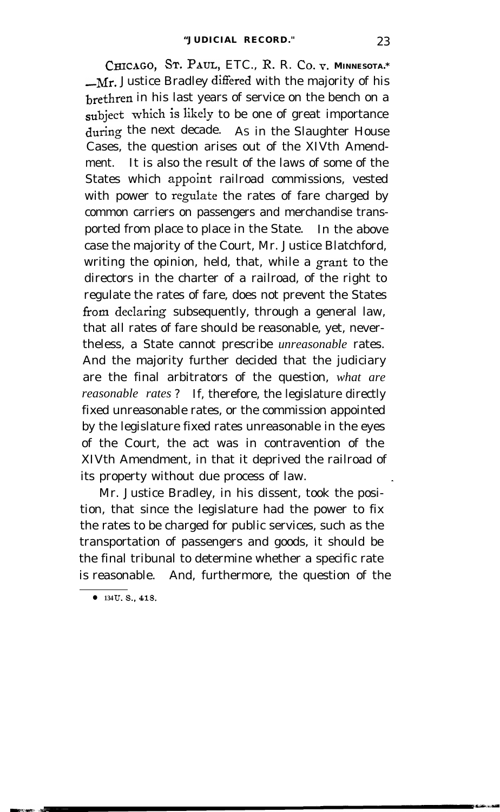**CHICAGO,** ST. PAUL, ETC., R. R. CO.F. **MINNESOTA.\*** -Mr. Justice Bradley differed with the majority of his brethren in his last years of service on the bench on a subject which is likely to be one of great importance during the next decade. AS in the Slaughter House Cases, the question arises out of the XIVth Amendment. It is also the result of the laws of some of the States which appoint railroad commissions, vested with power to regulate the rates of fare charged by common carriers on passengers and merchandise transported from place to place in the State. In the above case the majority of the Court, Mr. Justice Blatchford, writing the opinion, held, that, while a grant to the directors in the charter of a railroad, of the right to regulate the rates of fare, does not prevent the States from declaring subsequently, through a general law, that all rates of fare should be reasonable, yet, nevertheless, a State cannot prescribe *unreasonable* rates. And the majority further decided that the judiciary are the final arbitrators of the question, *what are reasonable rates* ? If, therefore, the legislature directly fixed unreasonable rates, or the commission appointed by the legislature fixed rates unreasonable in the eyes of the Court, the act was in contravention of the XIVth Amendment, in that it deprived the railroad of its property without due process of law.

Mr. Justice Bradley, in his dissent, took the position, that since the legislature had the power to fix the rates to be charged for public services, such as the transportation of passengers and goods, it should be the final tribunal to determine whether a specific rate is reasonable. And, furthermore, the question of the

**134 U.S., 418.**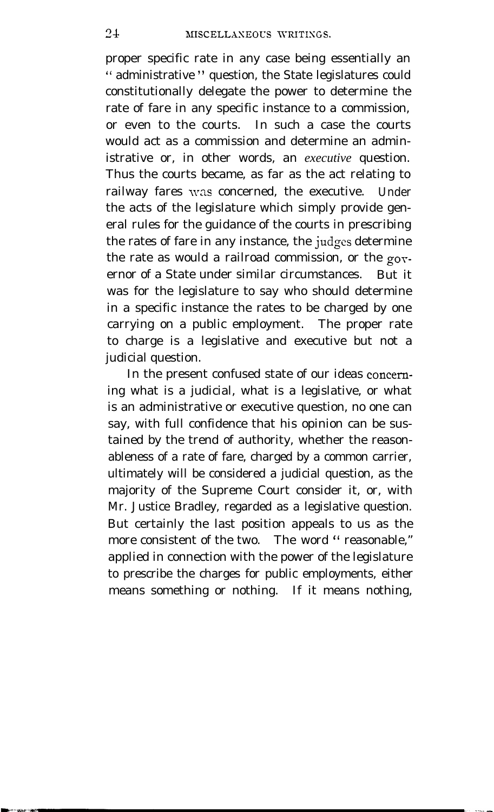proper specific rate in any case being essentially an " administrative " question, the State legislatures could constitutionally delegate the power to determine the rate of fare in any specific instance to a commission, or even to the courts. In such a case the courts would act as a commission and determine an administrative or, in other words, an *executive* question. Thus the courts became, as far as the act relating to railway fares was concerned, the executive. Under the acts of the legislature which simply provide general rules for the guidance of the courts in prescribing the rates of fare in any instance, the judges determine the rate as would a railroad commission, or the governor of a State under similar circumstances. But it was for the legislature to say who should determine in a specific instance the rates to be charged by one carrying on a public employment. The proper rate to charge is a legislative and executive but not a judicial question.

In the present confused state of our ideas conceming what is a judicial, what is a legislative, or what is an administrative or executive question, no one can say, with full confidence that his opinion can be sustained by the trend of authority, whether the reasonableness of a rate of fare, charged by a common carrier, ultimately will be considered a judicial question, as the majority of the Supreme Court consider it, or, with Mr. Justice Bradley, regarded as a legislative question. But certainly the last position appeals to us as the more consistent of the two. The word " reasonable," applied in connection with the power of the legislature to prescribe the charges for public employments, either means something or nothing. If it means nothing,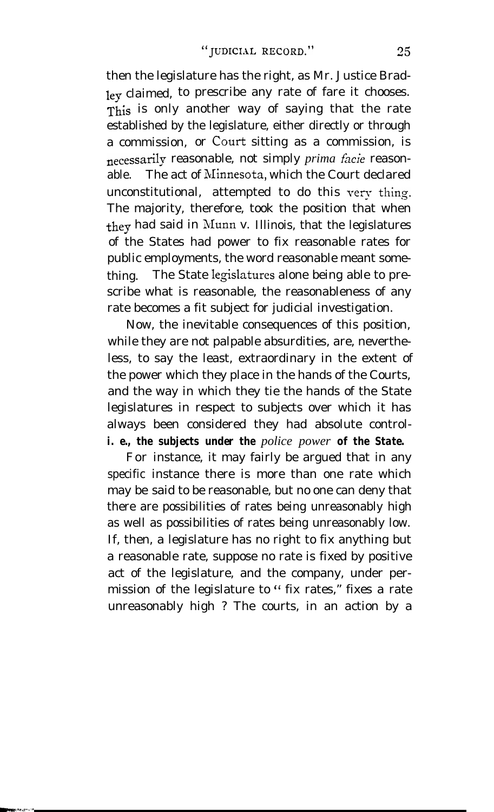then the legislature has the right, as Mr. Justice Bradley claimed, to prescribe any rate of fare it chooses. This is only another way of saying that the rate established by the legislature, either directly or through a commission, or Court sitting as a commission, is necessarily reasonable, not simply *prima hcie* reasonable. The act of Minnesota, which the Court declared unconstitutional, attempted to do this very thing. The majority, therefore, took the position that when they had said in Munn v. Illinois, that the legislatures of the States had power to fix reasonable rates for public employments, the word reasonable meant something. The State legislatures alone being able to prescribe what is reasonable, the reasonableness of any rate becomes a fit subject for judicial investigation.

Now, the inevitable consequences of this position, while they are not palpable absurdities, are, nevertheless, to say the least, extraordinary in the extent of the power which they place in the hands of the Courts, and the way in which they tie the hands of the State legislatures in respect to subjects over which it has always been considered they had absolute control*i. e., the subjects under the police power of the State.*

For instance, it may fairly be argued that in any specific instance there is more than one rate which may be said to be reasonable, but no one can deny that there are possibilities of rates being unreasonably high as well as possibilities of rates being unreasonably low. If, then, a legislature has no right to fix anything but a reasonable rate, suppose no rate is fixed by positive act of the legislature, and the company, under permission of the legislature to " fix rates," fixes a rate unreasonably high ? The courts, in an action by a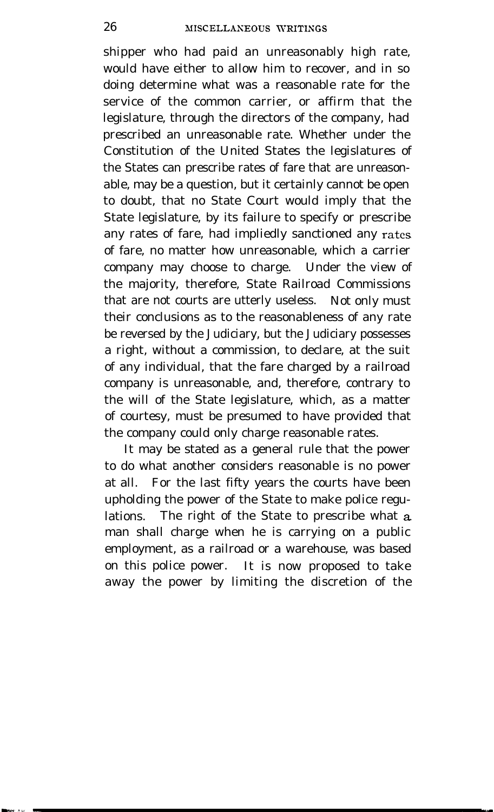shipper who had paid an unreasonably high rate, would have either to allow him to recover, and in so doing determine what was a reasonable rate for the service of the common carrier, or affirm that the legislature, through the directors of the company, had prescribed an unreasonable rate. Whether under the Constitution of the United States the legislatures of the States can prescribe rates of fare that are unreasonable, may be a question, but it certainly cannot be open to doubt, that no State Court would imply that the State legislature, by its failure to specify or prescribe any rates of fare, had impliedly sanctioned any rates of fare, no matter how unreasonable, which a carrier company may choose to charge. Under the view of the majority, therefore, State Railroad Commissions that are not courts are utterly useless. Not only must their conclusions as to the reasonableness of any rate be reversed by the Judiciary, but the Judiciary possesses a right, without a commission, to declare, at the suit of any individual, that the fare charged by a railroad company is unreasonable, and, therefore, contrary to the will of the State legislature, which, as a matter of courtesy, must be presumed to have provided that the company could only charge reasonable rates.

It may be stated as a general rule that the power to do what another considers reasonable is no power at all. For the last fifty years the courts have been upholding the power of the State to make police regulations. The right of the State to prescribe what a man shall charge when he is carrying on a public employment, as a railroad or a warehouse, was based on this police power. It is now proposed to take away the power by limiting the discretion of the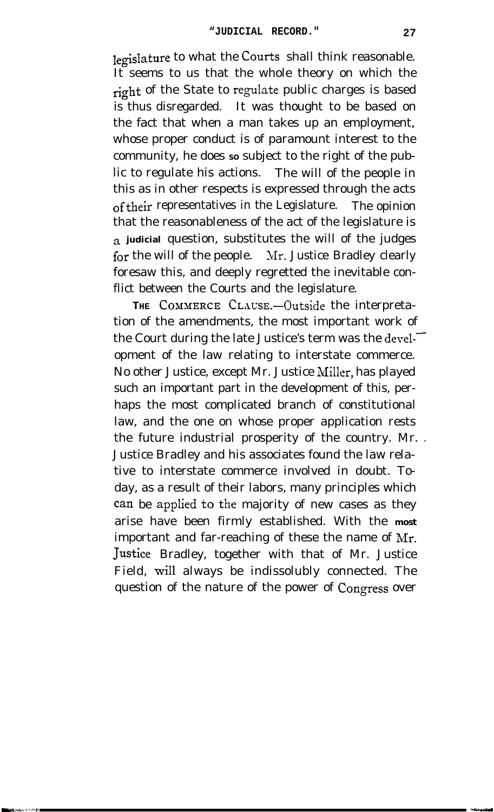legislature to what the **Courts** shall think reasonable. It seems to us that the whole theory on which the right of the State to regulate public charges is based is thus disregarded. It was thought to be based on the fact that when a man takes up an employment, whose proper conduct is of paramount interest to the community, he does so subject to the right of the public to regulate his actions. The will of the people in this as in other respects is expressed through the acts of their representatives in the Legislature. The opinion that the reasonableness of the act of the legislature is **a judicial** question, substitutes the will of the judges for the will of the people. Nr. Justice Bradley clearly foresaw this, and deeply regretted the inevitable conflict between the Courts and the legislature.

THE COMMERCE CLAUSE.-Outside the interpretation of the amendments, the most important work of the Court during the late Justice's term was the devel- $\tilde{\phantom{a}}$ opment of the law relating to interstate commerce. No other Justice, except Mr. Justice Miller, has played such an important part in the development of this, perhaps the most complicated branch of constitutional law, and the one on whose proper application rests the future industrial prosperity of the country. Mr. . Justice Bradley and his associates found the law relative to interstate commerce involved in doubt. Today, as a result of their labors, many principles which can be applied to the majority of new cases as they arise have been firmly established. With the **most** important and far-reaching of these the name of Mr. Justice Bradley, together with that of Mr. Justice Field, will always be indissolubly connected. The question of the nature of the power of Congress over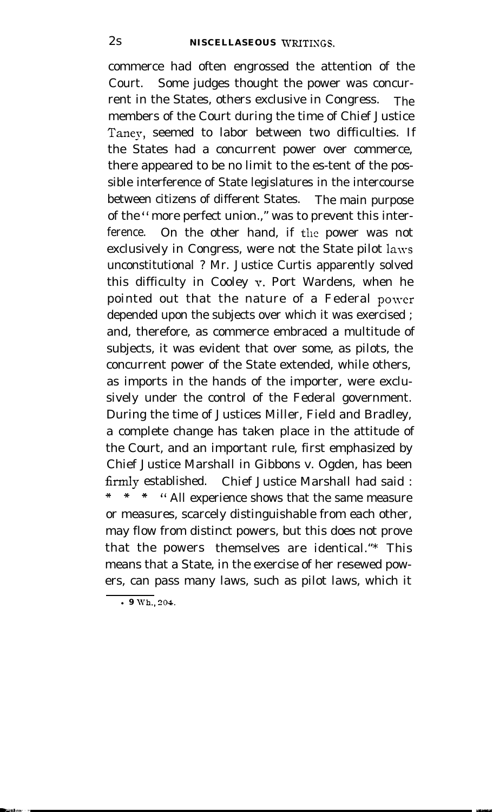commerce had often engrossed the attention of the Court. Some judges thought the power was concurrent in the States, others exclusive in Congress. The members of the Court during the time of Chief Justice Taney, seemed to labor between two difficulties. If the States had a concurrent power over commerce, there appeared to be no limit to the es-tent of the possible interference of State legislatures in the intercourse between citizens of different States. The main purpose of the " more perfect union.," was to prevent this interference. On the other hand, if the power was not exclusively in Congress, were not the State pilot laws unconstitutional ? Mr. Justice Curtis apparently solved this difficulty in Cooley v. Port Wardens, when he pointed out that the nature of a Federal power depended upon the subjects over which it was exercised ; and, therefore, as commerce embraced a multitude of subjects, it was evident that over some, as pilots, the concurrent power of the State extended, while others, as imports in the hands of the importer, were exclusively under the control of the Federal government. During the time of Justices Miller, Field and Bradley, a complete change has taken place in the attitude of the Court, and an important rule, first emphasized by Chief Justice Marshall in Gibbons v. Ogden, has been firmly established. Chief Justice Marshall had said :  $\ast$ " All experience shows that the same measure or measures, scarcely distinguishable from each other, may flow from distinct powers, but this does not prove that the powers themselves are identical."\* This means that a State, in the exercise of her resewed powers, can pass many laws, such as pilot laws, which it

<sup>l</sup>**9 Wh., 304.**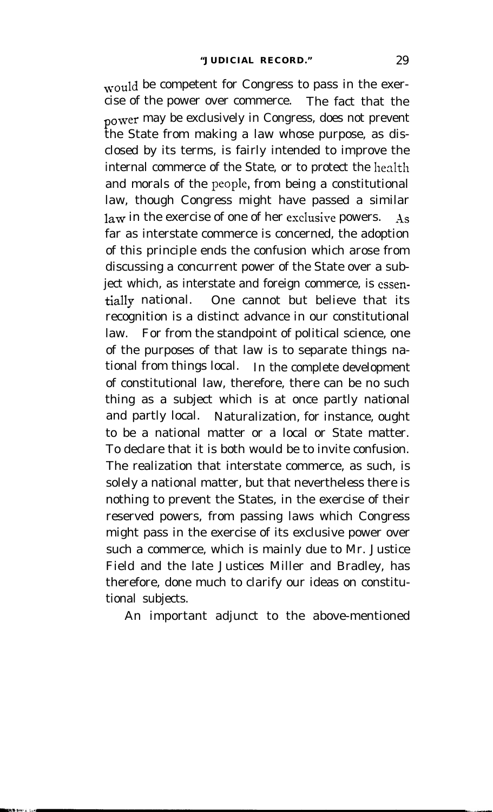would be competent for Congress to pass in the exercise of the power over commerce. The fact that the power may be exclusively in Congress, does not prevent the State from making a law whose purpose, as disclosed by its terms, is fairly intended to improve the internal commerce of the State, or to protect the health and morals of the people, from being a constitutional law, though Congress might have passed a similar law in the exercise of one of her exclusive powers. As far as interstate commerce is concerned, the adoption of this principle ends the confusion which arose from discussing a concurrent power of the State over a subject which, as interstate and foreign commerce, is cssentially national. One cannot but believe that its recognition is a distinct advance in our constitutional law. For from the standpoint of political science, one of the purposes of that law is to separate things national from things local. In the complete development of constitutional law, therefore, there can be no such thing as a subject which is at once partly national and partly local. Naturalization, for instance, ought to be a national matter or a local or State matter. To declare that it is both would be to invite confusion. The realization that interstate commerce, as such, is solely a national matter, but that nevertheless there is nothing to prevent the States, in the exercise of their reserved powers, from passing laws which Congress might pass in the exercise of its exclusive power over such a commerce, which is mainly due to Mr. Justice Field and the late Justices Miller and Bradley, has therefore, done much to clarify our ideas on constitutional subjects.

An important adjunct to the above-mentioned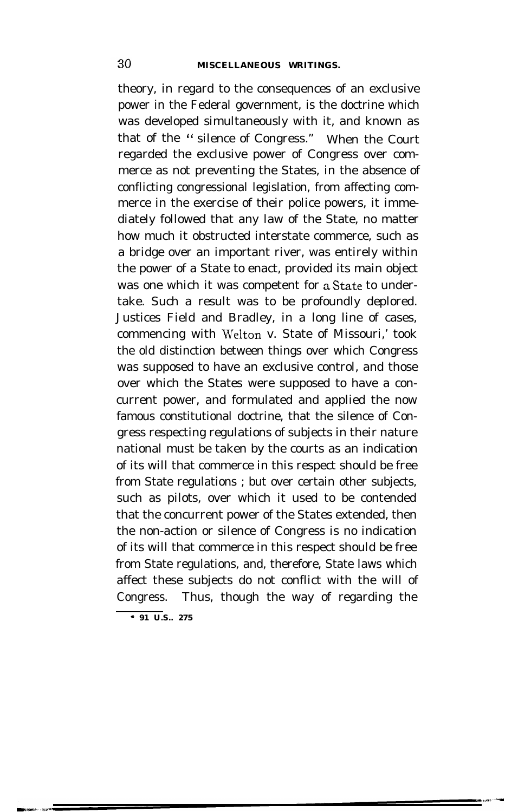theory, in regard to the consequences of an exclusive power in the Federal government, is the doctrine which was developed simultaneously with it, and known as that of the " silence of Congress." When the Court regarded the exclusive power of Congress over commerce as not preventing the States, in the absence of conflicting congressional legislation, from affecting commerce in the exercise of their police powers, it immediately followed that any law of the State, no matter how much it obstructed interstate commerce, such as a bridge over an important river, was entirely within the power of a State to enact, provided its main object was one which it was competent for aState to undertake. Such a result was to be profoundly deplored. Justices Field and Bradley, in a long line of cases, commencing with Welton v. State of Missouri,' took the old distinction between things over which Congress was supposed to have an exclusive control, and those over which the States were supposed to have a concurrent power, and formulated and applied the now famous constitutional doctrine, that the silence of Congress respecting regulations of subjects in their nature national must be taken by the courts as an indication of its will that commerce in this respect should be free from State regulations ; but over certain other subjects, such as pilots, over which it used to be contended that the concurrent power of the States extended, then the non-action or silence of Congress is no indication of its will that commerce in this respect should be free from State regulations, and, therefore, State laws which affect these subjects do not conflict with the will of Congress. Thus, though the way of regarding the

**<sup>\* 91</sup> U.S.. 275**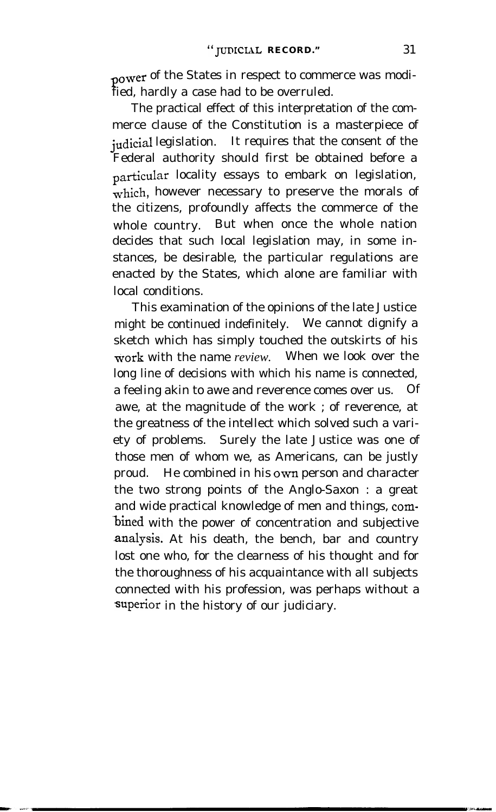power of the States in respect to commerce was modified, hardly a case had to be overruled.

The practical effect of this interpretation of the commerce clause of the Constitution is a masterpiece of judicial legislation. It requires that the consent of the Federal authority should first be obtained before a particular locality essays to embark on legislation, which, however necessary to preserve the morals of the citizens, profoundly affects the commerce of the whole country. But when once the whole nation decides that such local legislation may, in some instances, be desirable, the particular regulations are enacted by the States, which alone are familiar with local conditions.

This examination of the opinions of the late Justice might be continued indefinitely. We cannot dignify a sketch which has simply touched the outskirts of his work with the name *review.* When we look over the long line of decisions with which his name is connected, a feeling akin to awe and reverence comes over us. Of awe, at the magnitude of the work ; of reverence, at the greatness of the intellect which solved such a variety of problems. Surely the late Justice was one of those men of whom we, as Americans, can be justly proud. He combined in his own person and character the two strong points of the Anglo-Saxon : a great and wide practical knowledge of men and things, com- 'bined with the power of concentration and subjective .analysis. At his death, the bench, bar and country lost one who, for the clearness of his thought and for the thoroughness of his acquaintance with all subjects connected with his profession, was perhaps without a superior in the history of our judiciary.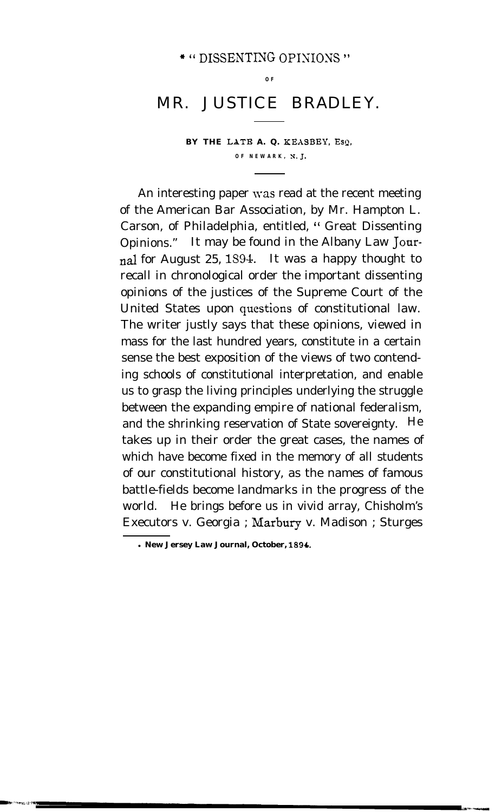#### \* " DISSENTING OPINIONS "

**O F**

## MR. JUSTICE BRADLEY.

BY THE LATE A. Q. KEASBEY, Esq. **OF NEWARK, N. J.**

An interesting paper was read at the recent meeting of the American Bar Association, by Mr. Hampton L. Carson, of Philadelphia, entitled, " Great Dissenting Opinions." It may be found in the Albany Law Journal for August 25, 1894. It was a happy thought to recall in chronological order the important dissenting opinions of the justices of the Supreme Court of the United States upon questions of constitutional law. The writer justly says that these opinions, viewed in mass for the last hundred years, constitute in a certain sense the best exposition of the views of two contending schools of constitutional interpretation, and enable us to grasp the living principles underlying the struggle between the expanding empire of national federalism, and the shrinking reservation of State sovereignty. He takes up in their order the great cases, the names of which have become fixed in the memory of all students of our constitutional history, as the names of famous battle-fields become landmarks in the progress of the world. He brings before us in vivid array, Chisholm's Executors v. Georgia ; Marbury v. Madison ; Sturges

l **New Jersey Law Journal, October, 1894,.**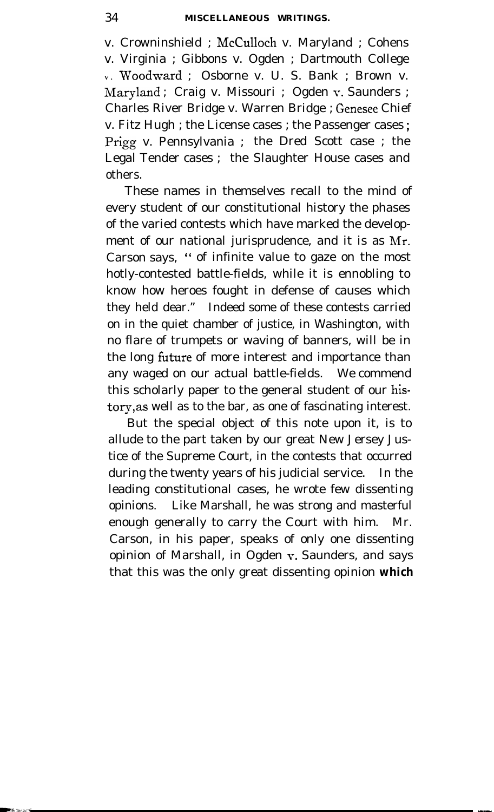v. Crowninshield ; McCulloch v. Maryland ; Cohens v. Virginia ; Gibbons v. Ogden ; Dartmouth College **<sup>V</sup> .** Woodward ; Osborne v. U. S. Bank ; Brown v. Maryland ; Craig v. Missouri ; Ogden v. Saunders ; Charles River Bridge v. Warren Bridge ; Genesee Chief v. Fitz Hugh ; the License cases ; the Passenger cases ; Prigg v. Pennsylvania ; the Dred Scott case ; the Legal Tender cases ; the Slaughter House cases and others.

These names in themselves recall to the mind of every student of our constitutional history the phases of the varied contests which have marked the development of our national jurisprudence, and it is as Mr. Carson says, " of infinite value to gaze on the most hotly-contested battle-fields, while it is ennobling to know how heroes fought in defense of causes which they held dear." Indeed some of these contests carried on in the quiet chamber of justice, in Washington, with no flare of trumpets or waving of banners, will be in the long future of more interest and importance than any waged on our actual battle-fields. We commend this scholarly paper to the general student of our history,as well as to the bar, as one of fascinating interest.

But the special object of this note upon it, is to allude to the part taken by our great New Jersey Justice of the Supreme Court, in the contests that occurred during the twenty years of his judicial service. In the leading constitutional cases, he wrote few dissenting opinions. Like Marshall, he was strong and masterful enough generally to carry the Court with him. Mr. Carson, in his paper, speaks of only one dissenting opinion of Marshall, in Ogden v. Saunders, and says that this was the only great dissenting opinion **which**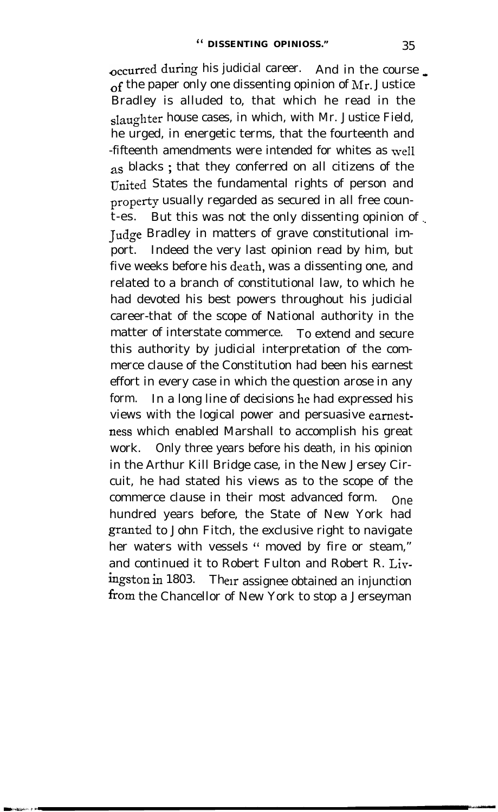$\alpha$  occurred during his judicial career. And in the course  $\alpha$ of the paper only one dissenting opinion of  $Mr.$  Justice Bradley is alluded to, that which he read in the slaughter house cases, in which, with Mr. Justice Field, he urged, in energetic terms, that the fourteenth and -fifteenth amendments were intended for whites as well as blacks ; that they conferred on all citizens of the United States the fundamental rights of person and property usually regarded as secured in all free count-es. But this was not the only dissenting opinion of \_. Judge Bradley in matters of grave constitutional import. Indeed the very last opinion read by him, but five weeks before his death, was a dissenting one, and related to a branch of constitutional law, to which he had devoted his best powers throughout his judicial career-that of the scope of National authority in the matter of interstate commerce. To extend and secure this authority by judicial interpretation of the commerce clause of the Constitution had been his earnest effort in every case in which the question arose in any form. In a long line of decisions he had expressed his views with the logical power and persuasive eamestness which enabled Marshall to accomplish his great work. Only three years before his death, in his opinion in the Arthur Kill Bridge case, in the New Jersey Circuit, he had stated his views as to the scope of the commerce clause in their most advanced form. One hundred years before, the State of New York had granted to John Fitch, the exclusive right to navigate her waters with vessels " moved by fire or steam," and continued it to Robert Fulton and Robert R. Livingston in 1803. Their assignee obtained an injunction from the Chancellor of New York to stop a Jerseyman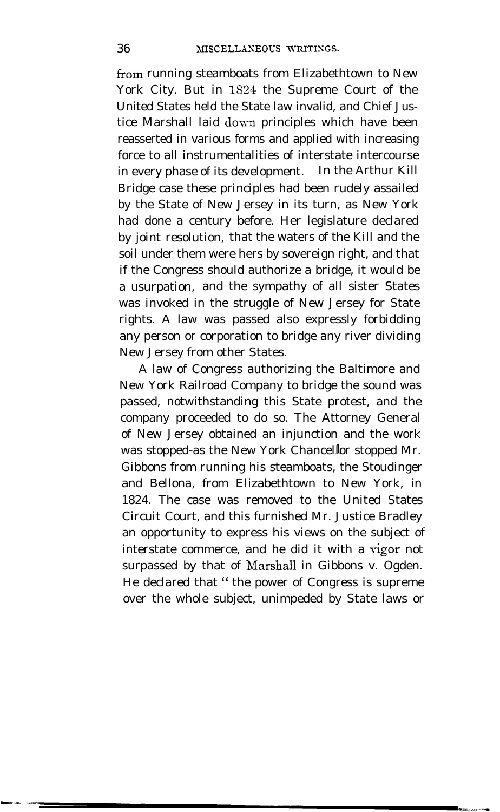from running steamboats from Elizabethtown to New York City. But in lS24 the Supreme Court of the United States held the State law invalid, and Chief Justice Marshall laid down principles which have been reasserted in various forms and applied with increasing force to all instrumentalities of interstate intercourse in every phase of its development. In the Arthur Kill Bridge case these principles had been rudely assailed by the State of New Jersey in its turn, as New York had done a century before. Her legislature declared by joint resolution, that the waters of the Kill and the soil under them were hers by sovereign right, and that if the Congress should authorize a bridge, it would be a usurpation, and the sympathy of all sister States was invoked in the struggle of New Jersey for State rights. A law was passed also expressly forbidding any person or corporation to bridge any river dividing New Jersey from other States.

A law of Congress authorizing the Baltimore and New York Railroad Company to bridge the sound was passed, notwithstanding this State protest, and the company proceeded to do so. The Attorney General of New Jersey obtained an injunction and the work was stopped-as the New York Chancellor stopped Mr. Gibbons from running his steamboats, the Stoudinger and Bellona, from Elizabethtown to New York, in 1824. The case was removed to the United States Circuit Court, and this furnished Mr. Justice Bradley an opportunity to express his views on the subject of interstate commerce, and he did it with a vigor not surpassed by that of Marshall in Gibbons v. Ogden. He declared that " the power of Congress is supreme over the whole subject, unimpeded by State laws or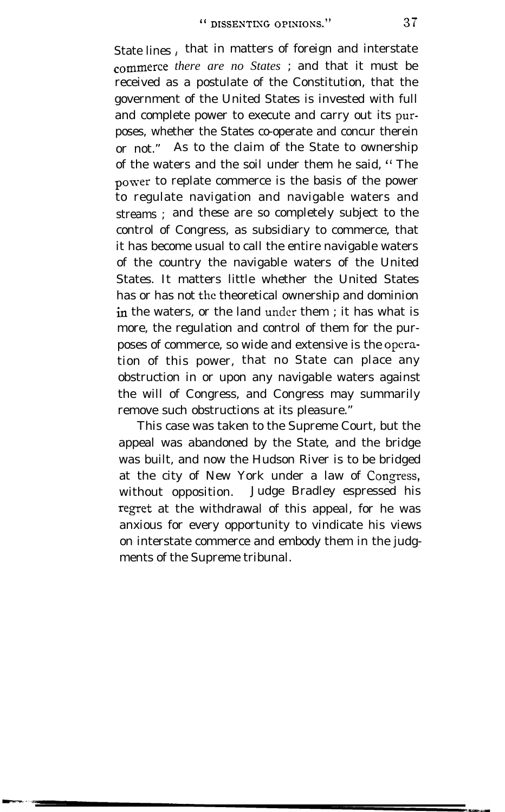State lines, that in matters of foreign and interstate *commerce there are no States* ; and that it must be received as a postulate of the Constitution, that the government of the United States is invested with full and complete power to execute and carry out its pwrposes, whether the States co-operate and concur therein or not." As to the claim of the State to ownership of the waters and the soil under them he said, " The power to replate commerce is the basis of the power to regulate navigation and navigable waters and streams ; and these are so completely subject to the control of Congress, as subsidiary to commerce, that it has become usual to call the entire navigable waters of the country the navigable waters of the United States. It matters little whether the United States has or has not the theoretical ownership and dominion in the waters, or the land under them ; it has what is more, the regulation and control of them for the purposes of commerce, so wide and extensive is the opcration of this power, that no State can place any obstruction in or upon any navigable waters against the will of Congress, and Congress may summarily remove such obstructions at its pleasure."

This case was taken to the Supreme Court, but the appeal was abandoned by the State, and the bridge was built, and now the Hudson River is to be bridged at the city of New York under a law of Congress, without opposition. Judge Bradley espressed his regret at the withdrawal of this appeal, for he was anxious for every opportunity to vindicate his views on interstate commerce and embody them in the judgments of the Supreme tribunal.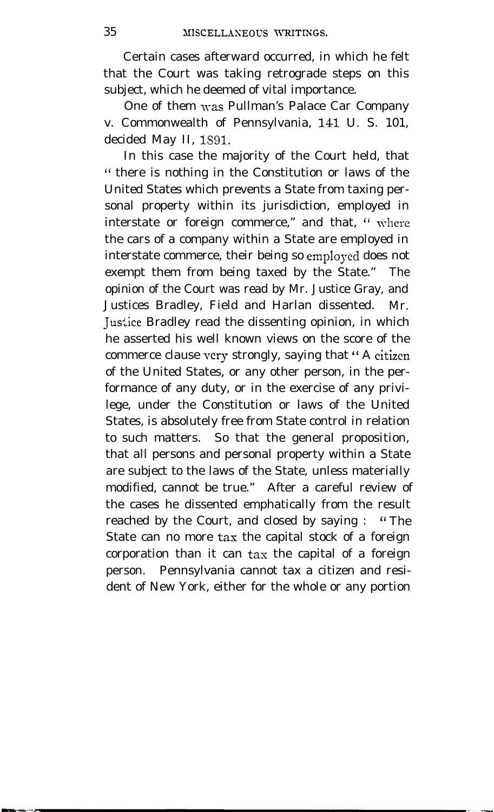Certain cases afterward occurred, in which he felt that the Court was taking retrograde steps on this subject, which he deemed of vital importance.

One of them was Pullman's Palace Car Company v. Commonwealth of Pennsylvania, 141 U. S. 101, decided May II, 1891.

In this case the majority of the Court held, that " there is nothing in the Constitution or laws of the United States which prevents a State from taxing personal property within its jurisdiction, employed in interstate or foreign commerce," and that, " where the cars of a company within a State are employed in interstate commerce, their being so employed does not exempt them from being taxed by the State." The opinion of the Court was read by Mr. Justice Gray, and Justices Bradley, Field and Harlan dissented. Mr. Justice Bradley read the dissenting opinion, in which he asserted his well known views on the score of the commerce clause very strongly, saying that " A citizen of the United States, or any other person, in the performance of any duty, or in the exercise of any privilege, under the Constitution or laws of the United States, is absolutely free from State control in relation to such matters. So that the general proposition, that all persons and personal property within a State are subject to the laws of the State, unless materially modified, cannot be true." After a careful review of the cases he dissented emphatically from the result reached by the Court, and closed by saying : " The State can no more tax the capital stock of a foreign corporation than it can tax the capital of a foreign person. Pennsylvania cannot tax a citizen and resident of New York, either for the whole or any portion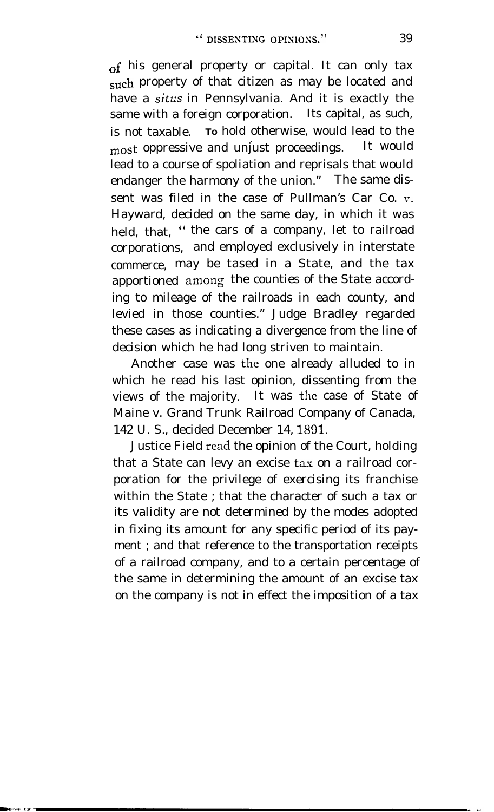of his general property or capital. It can only tax such property of that citizen as may be located and have a *situs* in Pennsylvania. And it is exactly the same with a foreign corporation. Its capital, as such, is not taxable. **<sup>T</sup><sup>O</sup>** hold otherwise, would lead to the most oppressive and unjust proceedings. It would lead to a course of spoliation and reprisals that would endanger the harmony of the union." The same dissent was filed in the case of Pullman's Car Co. v. Hayward, decided on the same day, in which it was held, that, " the cars of a company, let to railroad corporations, and employed exclusively in interstate commerce, may be tased in a State, and the tax apportioned among the counties of the State according to mileage of the railroads in each county, and levied in those counties." Judge Bradley regarded these cases as indicating a divergence from the line of decision which he had long striven to maintain.

Another case was the one already alluded to in which he read his last opinion, dissenting from the views of the majority. It was the case of State of Maine v. Grand Trunk Railroad Company of Canada, 142 U. S., decided December 14, 1891.

Justice Field read the opinion of the Court, holding that a State can levy an excise tax on a railroad corporation for the privilege of exercising its franchise within the State ; that the character of such a tax or its validity are not determined by the modes adopted in fixing its amount for any specific period of its payment ; and that reference to the transportation receipts of a railroad company, and to a certain percentage of the same in determining the amount of an excise tax on the company is not in effect the imposition of a tax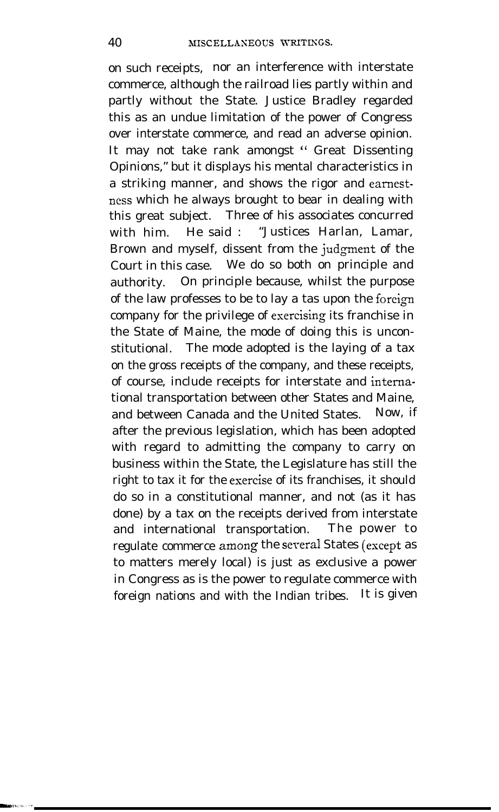on such receipts, nor an interference with interstate commerce, although the railroad lies partly within and partly without the State. Justice Bradley regarded this as an undue limitation of the power of Congress over interstate commerce, and read an adverse opinion. It may not take rank amongst " Great Dissenting Opinions," but it displays his mental characteristics in a striking manner, and shows the rigor and eamestness which he always brought to bear in dealing with this great subject. Three of his associates concurred with him. He said : "Justices Harlan, Lamar, Brown and myself, dissent from the judgment of the Court in this case. We do so both on principle and authority. On principle because, whilst the purpose of the law professes to be to lay a tas upon the foreign company for the privilege of esercising its franchise in the State of Maine, the mode of doing this is unconstitutional. The mode adopted is the laying of a tax on the gross receipts of the company, and these receipts, of course, include receipts for interstate and intemational transportation between other States and Maine, and between Canada and the United States. Now, if after the previous legislation, which has been adopted with regard to admitting the company to carry on business within the State, the Legislature has still the right to tax it for the esercise of its franchises, it should do so in a constitutional manner, and not (as it has done) by a tax on the receipts derived from interstate and international transportation. The power to regulate commerce among the several States (except as to matters merely local) is just as exclusive a power in Congress as is the power to regulate commerce with foreign nations and with the Indian tribes. It is given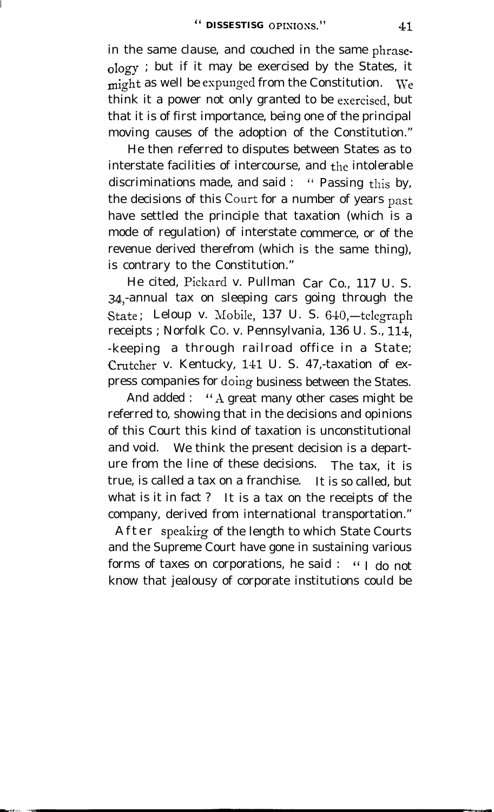in the same clause, and couched in the same phraseology ; but if it may be exercised by the States, it might as well be espunged from the Constitution. We think it a power not only granted to be esercised, but that it is of first importance, being one of the principal moving causes of the adoption of the Constitution."

He then referred to disputes between States as to interstate facilities of intercourse, and the intolerable discriminations made, and said : " Passing this by, the decisions of this Court for a number of years past have settled the principle that taxation (which is a mode of regulation) of interstate commerce, or of the revenue derived therefrom (which is the same thing), is contrary to the Constitution."

He cited, Pickard v. Pullman Car Co., 117 U. S. 34 -annual tax on sleeping cars going through the State; Leloup v. Mobile, 137 U. S. 640,-telegraph receipts ; Norfolk CO. v. Pennsylvania, 136 U. S., 114, -keeping a through railroad office in a State; Crutcher v. Kentucky, 141 U. S. 47,-taxation of express companies for doing business between the States.

And added : " A great many other cases might be referred to, showing that in the decisions and opinions of this Court this kind of taxation is unconstitutional and void. We think the present decision is a departure from the line of these decisions. The tax, it is true, is called a tax on a franchise. It is so called, but what is it in fact ? It is a tax on the receipts of the company, derived from international transportation."

After speakirg of the length to which State Courts and the Supreme Court have gone in sustaining various forms of taxes on corporations, he said : " I do not know that jealousy of corporate institutions could be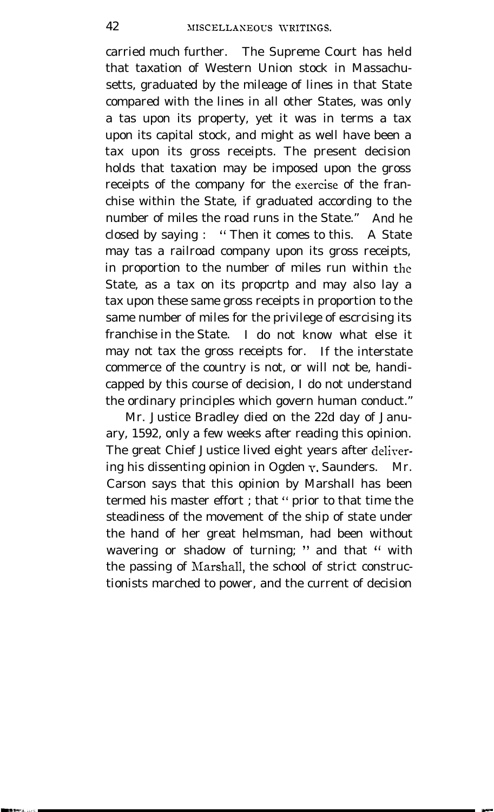carried much further. The Supreme Court has held that taxation of Western Union stock in Massachusetts, graduated by the mileage of lines in that State compared with the lines in all other States, was only a tas upon its property, yet it was in terms a tax upon its capital stock, and might as well have been a tax upon its gross receipts. The present decision holds that taxation may be imposed upon the gross receipts of the company for the esercise of the franchise within the State, if graduated according to the number of miles the road runs in the State." And he closed by saying : " Then it comes to this. A State may tas a railroad company upon its gross receipts, in proportion to the number of miles run within the State, as a tax on its propcrtp and may also lay a tax upon these same gross receipts in proportion to the same number of miles for the privilege of escrcising its franchise in the State. I do not know what else it may not tax the gross receipts for. If the interstate commerce of the country is not, or will not be, handicapped by this course of decision, I do not understand the ordinary principles which govern human conduct."

Mr. Justice Bradley died on the 22d day of January, 1592, only a few weeks after reading this opinion. The great Chief Justice lived eight years after delirering his dissenting opinion in Ogden v. Saunders. Mr. Carson says that this opinion by Marshall has been termed his master effort ; that " prior to that time the steadiness of the movement of the ship of state under the hand of her great helmsman, had been without wavering or shadow of turning; " and that " with the passing of Marshall, the school of strict constructionists marched to power, and the current of decision